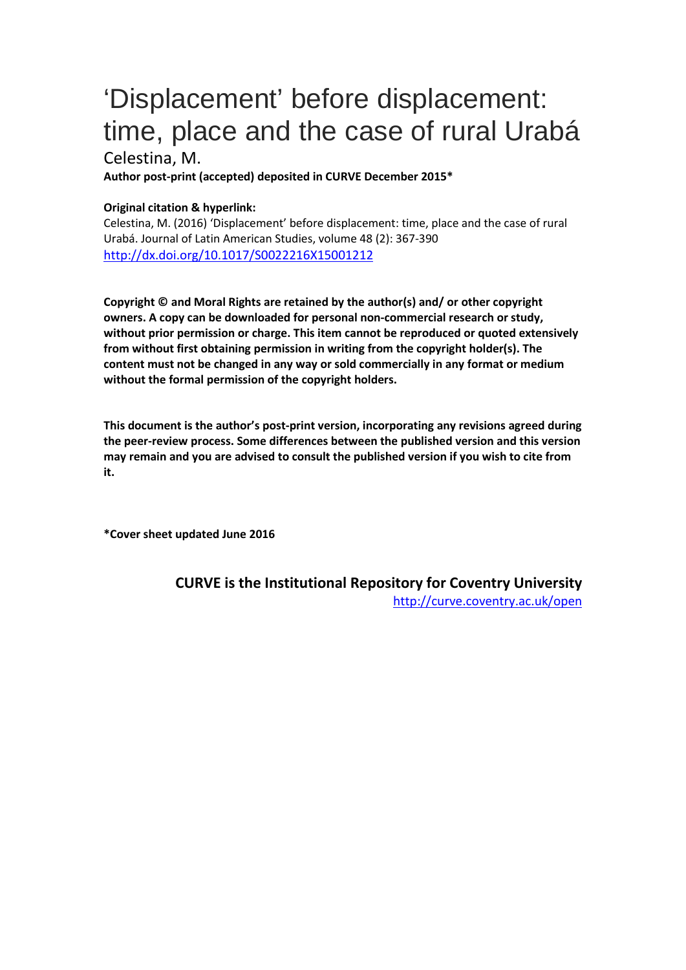# 'Displacement' before displacement: time, place and the case of rural Urabá

# Celestina, M.

**Author post-print (accepted) deposited in CURVE December 2015\***

### **Original citation & hyperlink:**

Celestina, M. (2016) 'Displacement' before displacement: time, place and the case of rural Urabá. Journal of Latin American Studies, volume 48 (2): 367-390 http:[//dx.doi.org/10.1017/S0022216X15001212](http://dx.doi.org/10.1017/S0022216X15001212)

**Copyright © and Moral Rights are retained by the author(s) and/ or other copyright owners. A copy can be downloaded for personal non-commercial research or study, without prior permission or charge. This item cannot be reproduced or quoted extensively from without first obtaining permission in writing from the copyright holder(s). The content must not be changed in any way or sold commercially in any format or medium without the formal permission of the copyright holders.** 

**This document is the author's post-print version, incorporating any revisions agreed during the peer-review process. Some differences between the published version and this version may remain and you are advised to consult the published version if you wish to cite from it.** 

**\*Cover sheet updated June 2016**

**CURVE is the Institutional Repository for Coventry University** <http://curve.coventry.ac.uk/open>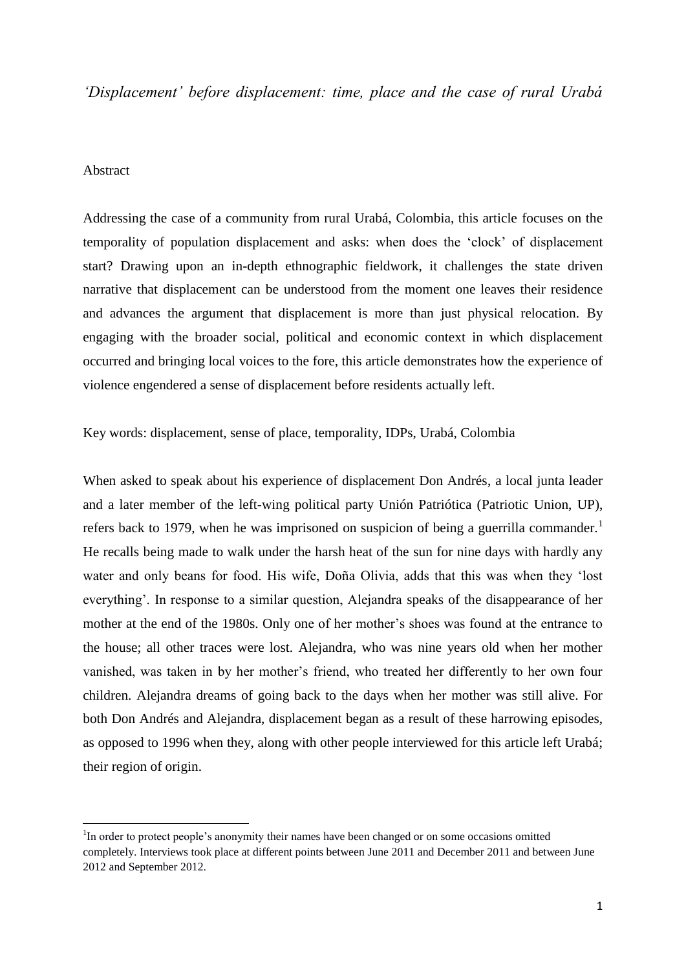*'Displacement' before displacement: time, place and the case of rural Urabá*

#### Abstract

**.** 

Addressing the case of a community from rural Urabá, Colombia, this article focuses on the temporality of population displacement and asks: when does the 'clock' of displacement start? Drawing upon an in-depth ethnographic fieldwork, it challenges the state driven narrative that displacement can be understood from the moment one leaves their residence and advances the argument that displacement is more than just physical relocation. By engaging with the broader social, political and economic context in which displacement occurred and bringing local voices to the fore, this article demonstrates how the experience of violence engendered a sense of displacement before residents actually left.

Key words: displacement, sense of place, temporality, IDPs, Urabá, Colombia

When asked to speak about his experience of displacement Don Andrés, a local junta leader and a later member of the left-wing political party Unión Patriótica (Patriotic Union, UP), refers back to 1979, when he was imprisoned on suspicion of being a guerrilla commander.<sup>1</sup> He recalls being made to walk under the harsh heat of the sun for nine days with hardly any water and only beans for food. His wife, Doña Olivia, adds that this was when they 'lost everything'. In response to a similar question, Alejandra speaks of the disappearance of her mother at the end of the 1980s. Only one of her mother's shoes was found at the entrance to the house; all other traces were lost. Alejandra, who was nine years old when her mother vanished, was taken in by her mother's friend, who treated her differently to her own four children. Alejandra dreams of going back to the days when her mother was still alive. For both Don Andrés and Alejandra, displacement began as a result of these harrowing episodes, as opposed to 1996 when they, along with other people interviewed for this article left Urabá; their region of origin.

<sup>&</sup>lt;sup>1</sup>In order to protect people's anonymity their names have been changed or on some occasions omitted completely. Interviews took place at different points between June 2011 and December 2011 and between June 2012 and September 2012.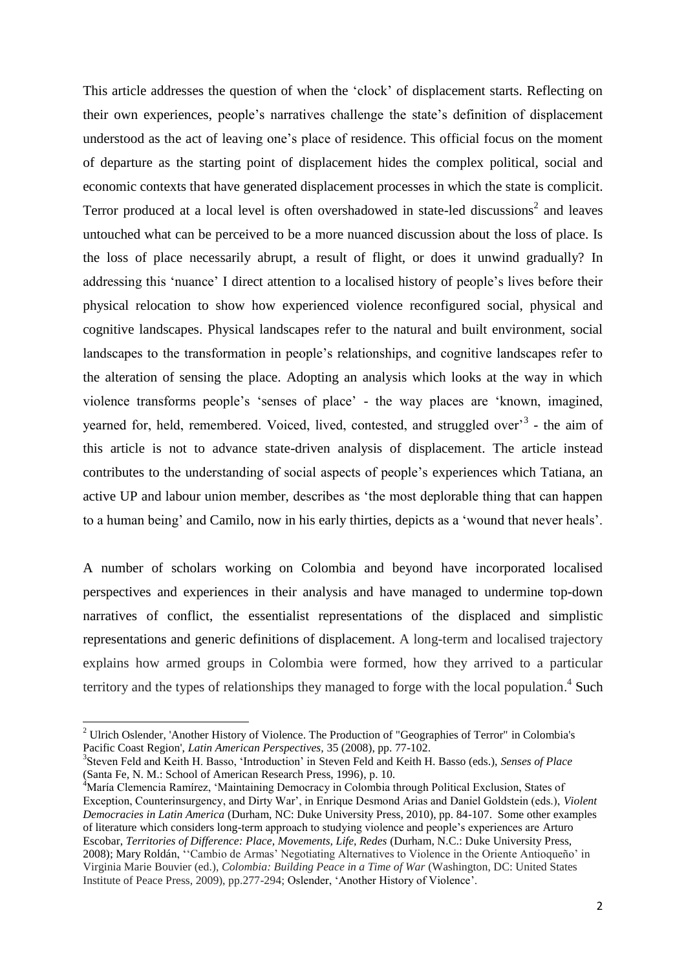This article addresses the question of when the 'clock' of displacement starts. Reflecting on their own experiences, people's narratives challenge the state's definition of displacement understood as the act of leaving one's place of residence. This official focus on the moment of departure as the starting point of displacement hides the complex political, social and economic contexts that have generated displacement processes in which the state is complicit. Terror produced at a local level is often overshadowed in state-led discussions<sup>2</sup> and leaves untouched what can be perceived to be a more nuanced discussion about the loss of place. Is the loss of place necessarily abrupt, a result of flight, or does it unwind gradually? In addressing this 'nuance' I direct attention to a localised history of people's lives before their physical relocation to show how experienced violence reconfigured social, physical and cognitive landscapes. Physical landscapes refer to the natural and built environment, social landscapes to the transformation in people's relationships, and cognitive landscapes refer to the alteration of sensing the place. Adopting an analysis which looks at the way in which violence transforms people's 'senses of place' - the way places are 'known, imagined, yearned for, held, remembered. Voiced, lived, contested, and struggled over<sup>3</sup> - the aim of this article is not to advance state-driven analysis of displacement. The article instead contributes to the understanding of social aspects of people's experiences which Tatiana, an active UP and labour union member, describes as 'the most deplorable thing that can happen to a human being' and Camilo, now in his early thirties, depicts as a 'wound that never heals'.

A number of scholars working on Colombia and beyond have incorporated localised perspectives and experiences in their analysis and have managed to undermine top-down narratives of conflict, the essentialist representations of the displaced and simplistic representations and generic definitions of displacement. A long-term and localised trajectory explains how armed groups in Colombia were formed, how they arrived to a particular territory and the types of relationships they managed to forge with the local population.<sup>4</sup> Such

<sup>&</sup>lt;sup>2</sup> Ulrich Oslender, 'Another History of Violence. The Production of "Geographies of Terror" in Colombia's Pacific Coast Region', *Latin American Perspectives,* 35 (2008), pp. 77-102.

<sup>3</sup> Steven Feld and Keith H. Basso, 'Introduction' in Steven Feld and Keith H. Basso (eds.), *Senses of Place* (Santa Fe, N. M.: School of American Research Press, 1996), p. 10.

<sup>&</sup>lt;sup>4</sup>María Clemencia Ramírez, 'Maintaining Democracy in Colombia through Political Exclusion, States of Exception, Counterinsurgency, and Dirty War', in Enrique Desmond Arias and Daniel Goldstein (eds.), *Violent Democracies in Latin America* (Durham, NC: Duke University Press, 2010), pp. 84-107. Some other examples of literature which considers long-term approach to studying violence and people's experiences are Arturo Escobar, *Territories of Difference: Place, Movements, Life, Redes* (Durham, N.C.: Duke University Press, 2008); Mary Roldán, ''Cambio de Armas' Negotiating Alternatives to Violence in the Oriente Antioqueño' in Virginia Marie Bouvier (ed.), *Colombia: Building Peace in a Time of War* (Washington, DC: United States Institute of Peace Press, 2009), pp.277-294; Oslender, 'Another History of Violence'.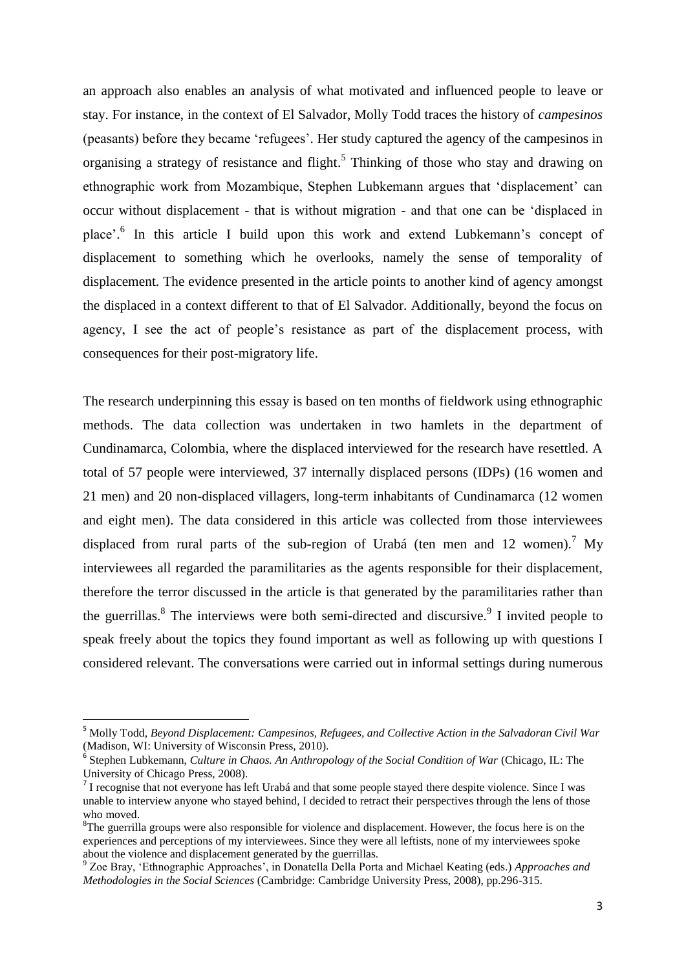an approach also enables an analysis of what motivated and influenced people to leave or stay. For instance, in the context of El Salvador, Molly Todd traces the history of *campesinos* (peasants) before they became 'refugees'. Her study captured the agency of the campesinos in organising a strategy of resistance and flight.<sup>5</sup> Thinking of those who stay and drawing on ethnographic work from Mozambique, Stephen Lubkemann argues that 'displacement' can occur without displacement - that is without migration - and that one can be 'displaced in place'. 6 In this article I build upon this work and extend Lubkemann's concept of displacement to something which he overlooks, namely the sense of temporality of displacement. The evidence presented in the article points to another kind of agency amongst the displaced in a context different to that of El Salvador. Additionally, beyond the focus on agency, I see the act of people's resistance as part of the displacement process, with consequences for their post-migratory life.

The research underpinning this essay is based on ten months of fieldwork using ethnographic methods. The data collection was undertaken in two hamlets in the department of Cundinamarca, Colombia, where the displaced interviewed for the research have resettled. A total of 57 people were interviewed, 37 internally displaced persons (IDPs) (16 women and 21 men) and 20 non-displaced villagers, long-term inhabitants of Cundinamarca (12 women and eight men). The data considered in this article was collected from those interviewees displaced from rural parts of the sub-region of Urabá (ten men and 12 women).<sup>7</sup> My interviewees all regarded the paramilitaries as the agents responsible for their displacement, therefore the terror discussed in the article is that generated by the paramilitaries rather than the guerrillas.<sup>8</sup> The interviews were both semi-directed and discursive.<sup>9</sup> I invited people to speak freely about the topics they found important as well as following up with questions I considered relevant. The conversations were carried out in informal settings during numerous

<sup>5</sup> Molly Todd, *Beyond Displacement: Campesinos, Refugees, and Collective Action in the Salvadoran Civil War* (Madison, WI: University of Wisconsin Press, 2010).

<sup>6</sup> Stephen Lubkemann, *Culture in Chaos. An Anthropology of the Social Condition of War* (Chicago, IL: The University of Chicago Press, 2008).

<sup>&</sup>lt;sup>7</sup> I recognise that not everyone has left Urabá and that some people stayed there despite violence. Since I was unable to interview anyone who stayed behind, I decided to retract their perspectives through the lens of those who moved.

<sup>&</sup>lt;sup>8</sup>The guerrilla groups were also responsible for violence and displacement. However, the focus here is on the experiences and perceptions of my interviewees. Since they were all leftists, none of my interviewees spoke about the violence and displacement generated by the guerrillas.

<sup>9</sup> Zoe Bray, 'Ethnographic Approaches', in Donatella Della Porta and Michael Keating (eds.) *Approaches and Methodologies in the Social Sciences* (Cambridge: Cambridge University Press, 2008), pp.296-315.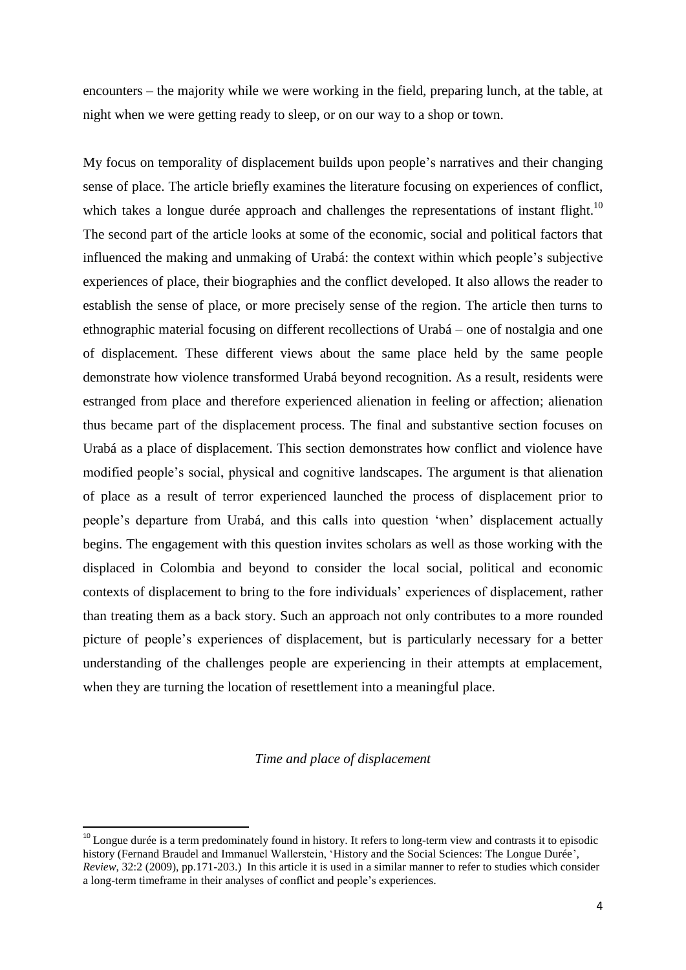encounters – the majority while we were working in the field, preparing lunch, at the table, at night when we were getting ready to sleep, or on our way to a shop or town.

My focus on temporality of displacement builds upon people's narratives and their changing sense of place. The article briefly examines the literature focusing on experiences of conflict, which takes a longue durée approach and challenges the representations of instant flight.<sup>10</sup> The second part of the article looks at some of the economic, social and political factors that influenced the making and unmaking of Urabá: the context within which people's subjective experiences of place, their biographies and the conflict developed. It also allows the reader to establish the sense of place, or more precisely sense of the region. The article then turns to ethnographic material focusing on different recollections of Urabá – one of nostalgia and one of displacement. These different views about the same place held by the same people demonstrate how violence transformed Urabá beyond recognition. As a result, residents were estranged from place and therefore experienced alienation in feeling or affection; alienation thus became part of the displacement process. The final and substantive section focuses on Urabá as a place of displacement. This section demonstrates how conflict and violence have modified people's social, physical and cognitive landscapes. The argument is that alienation of place as a result of terror experienced launched the process of displacement prior to people's departure from Urabá, and this calls into question 'when' displacement actually begins. The engagement with this question invites scholars as well as those working with the displaced in Colombia and beyond to consider the local social, political and economic contexts of displacement to bring to the fore individuals' experiences of displacement, rather than treating them as a back story. Such an approach not only contributes to a more rounded picture of people's experiences of displacement, but is particularly necessary for a better understanding of the challenges people are experiencing in their attempts at emplacement, when they are turning the location of resettlement into a meaningful place.

#### *Time and place of displacement*

<sup>&</sup>lt;sup>10</sup> Longue durée is a term predominately found in history. It refers to long-term view and contrasts it to episodic history (Fernand Braudel and Immanuel Wallerstein, 'History and the Social Sciences: The Longue Durée', *Review*, 32:2 (2009), pp.171-203.) In this article it is used in a similar manner to refer to studies which consider a long-term timeframe in their analyses of conflict and people's experiences.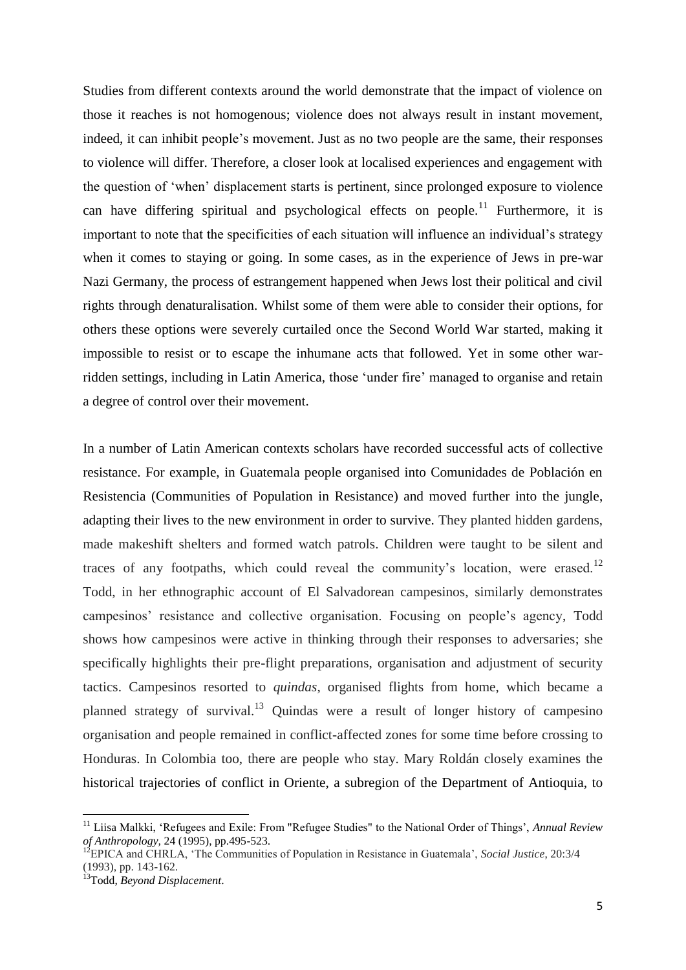Studies from different contexts around the world demonstrate that the impact of violence on those it reaches is not homogenous; violence does not always result in instant movement, indeed, it can inhibit people's movement. Just as no two people are the same, their responses to violence will differ. Therefore, a closer look at localised experiences and engagement with the question of 'when' displacement starts is pertinent, since prolonged exposure to violence can have differing spiritual and psychological effects on people.<sup>11</sup> Furthermore, it is important to note that the specificities of each situation will influence an individual's strategy when it comes to staying or going. In some cases, as in the experience of Jews in pre-war Nazi Germany, the process of estrangement happened when Jews lost their political and civil rights through denaturalisation. Whilst some of them were able to consider their options, for others these options were severely curtailed once the Second World War started, making it impossible to resist or to escape the inhumane acts that followed. Yet in some other warridden settings, including in Latin America, those 'under fire' managed to organise and retain a degree of control over their movement.

In a number of Latin American contexts scholars have recorded successful acts of collective resistance. For example, in Guatemala people organised into Comunidades de Población en Resistencia (Communities of Population in Resistance) and moved further into the jungle, adapting their lives to the new environment in order to survive. They planted hidden gardens, made makeshift shelters and formed watch patrols. Children were taught to be silent and traces of any footpaths, which could reveal the community's location, were erased.<sup>12</sup> Todd, in her ethnographic account of El Salvadorean campesinos, similarly demonstrates campesinos' resistance and collective organisation. Focusing on people's agency, Todd shows how campesinos were active in thinking through their responses to adversaries; she specifically highlights their pre-flight preparations, organisation and adjustment of security tactics. Campesinos resorted to *quindas*, organised flights from home, which became a planned strategy of survival.<sup>13</sup> Quindas were a result of longer history of campesino organisation and people remained in conflict-affected zones for some time before crossing to Honduras. In Colombia too, there are people who stay. Mary Roldán closely examines the historical trajectories of conflict in Oriente, a subregion of the Department of Antioquia, to

<sup>11</sup> Liisa Malkki, 'Refugees and Exile: From "Refugee Studies" to the National Order of Things', *Annual Review of Anthropology,* 24 (1995), pp.495-523.

<sup>&</sup>lt;sup>12</sup>EPICA and CHRLA, 'The Communities of Population in Resistance in Guatemala', *Social Justice*, 20:3/4 (1993), pp. 143-162.

<sup>13</sup>Todd, *Beyond Displacement*.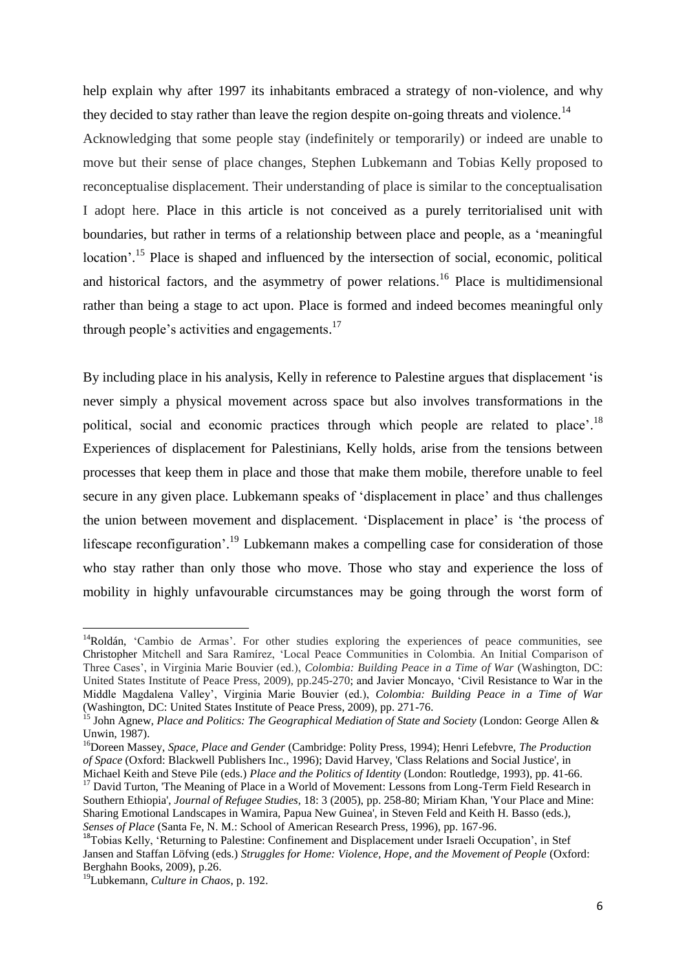help explain why after 1997 its inhabitants embraced a strategy of non-violence, and why they decided to stay rather than leave the region despite on-going threats and violence.<sup>14</sup>

Acknowledging that some people stay (indefinitely or temporarily) or indeed are unable to move but their sense of place changes, Stephen Lubkemann and Tobias Kelly proposed to reconceptualise displacement. Their understanding of place is similar to the conceptualisation I adopt here. Place in this article is not conceived as a purely territorialised unit with boundaries, but rather in terms of a relationship between place and people, as a 'meaningful location'.<sup>15</sup> Place is shaped and influenced by the intersection of social, economic, political and historical factors, and the asymmetry of power relations.<sup>16</sup> Place is multidimensional rather than being a stage to act upon. Place is formed and indeed becomes meaningful only through people's activities and engagements.<sup>17</sup>

By including place in his analysis, Kelly in reference to Palestine argues that displacement 'is never simply a physical movement across space but also involves transformations in the political, social and economic practices through which people are related to place'.<sup>18</sup> Experiences of displacement for Palestinians, Kelly holds, arise from the tensions between processes that keep them in place and those that make them mobile, therefore unable to feel secure in any given place. Lubkemann speaks of 'displacement in place' and thus challenges the union between movement and displacement. 'Displacement in place' is 'the process of lifescape reconfiguration'.<sup>19</sup> Lubkemann makes a compelling case for consideration of those who stay rather than only those who move. Those who stay and experience the loss of mobility in highly unfavourable circumstances may be going through the worst form of

 $\overline{a}$ 

<sup>&</sup>lt;sup>14</sup>Roldán, 'Cambio de Armas'. For other studies exploring the experiences of peace communities, see Christopher Mitchell and Sara Ramírez, 'Local Peace Communities in Colombia. An Initial Comparison of Three Cases', in Virginia Marie Bouvier (ed.), *Colombia: Building Peace in a Time of War* (Washington, DC: United States Institute of Peace Press, 2009), pp.245-270; and Javier Moncayo, 'Civil Resistance to War in the Middle Magdalena Valley', Virginia Marie Bouvier (ed.), *Colombia: Building Peace in a Time of War* (Washington, DC: United States Institute of Peace Press, 2009), pp. 271-76.

<sup>15</sup> John Agnew, *Place and Politics: The Geographical Mediation of State and Society* (London: George Allen & Unwin, 1987).

<sup>16</sup>Doreen Massey, *Space, Place and Gender* (Cambridge: Polity Press, 1994); Henri Lefebvre, *The Production of Space* (Oxford: Blackwell Publishers Inc., 1996); David Harvey, 'Class Relations and Social Justice', in Michael Keith and Steve Pile (eds.) *Place and the Politics of Identity* (London: Routledge, 1993), pp. 41-66.

<sup>&</sup>lt;sup>17</sup> David Turton, 'The Meaning of Place in a World of Movement: Lessons from Long-Term Field Research in Southern Ethiopia', *Journal of Refugee Studies,* 18: 3 (2005), pp. 258-80; Miriam Khan, 'Your Place and Mine: Sharing Emotional Landscapes in Wamira, Papua New Guinea', in Steven Feld and Keith H. Basso (eds.), *Senses of Place* (Santa Fe, N. M.: School of American Research Press, 1996), pp. 167-96.

<sup>&</sup>lt;sup>18</sup>Tobias Kelly, 'Returning to Palestine: Confinement and Displacement under Israeli Occupation', in Stef Jansen and Staffan Löfving (eds.) *Struggles for Home: Violence, Hope, and the Movement of People* (Oxford: Berghahn Books, 2009), p.26.

<sup>19</sup>Lubkemann, *Culture in Chaos*, p. 192.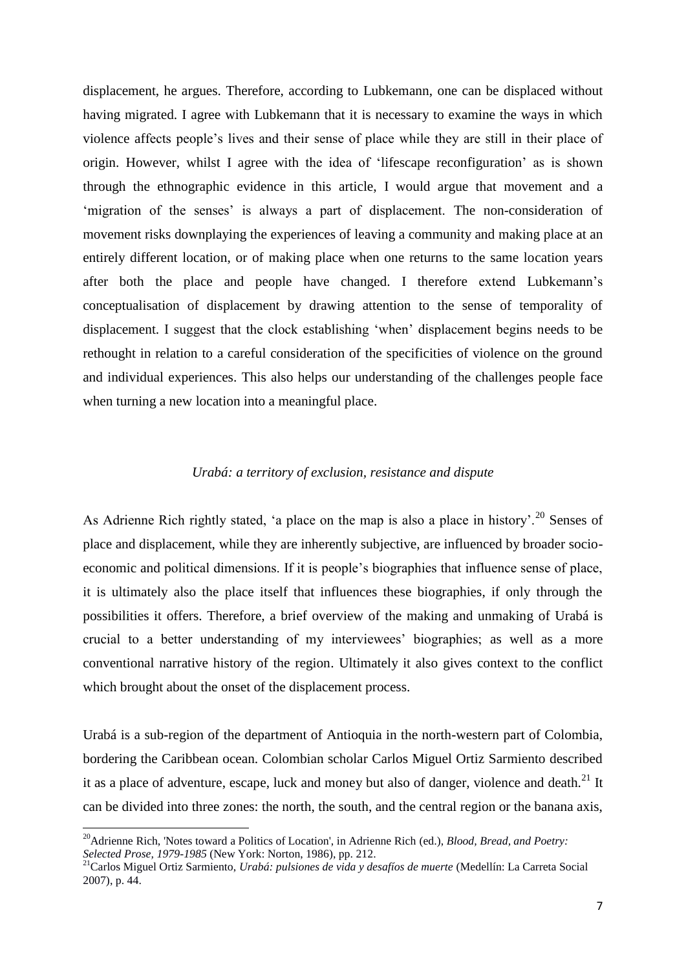displacement, he argues. Therefore, according to Lubkemann, one can be displaced without having migrated. I agree with Lubkemann that it is necessary to examine the ways in which violence affects people's lives and their sense of place while they are still in their place of origin. However, whilst I agree with the idea of 'lifescape reconfiguration' as is shown through the ethnographic evidence in this article, I would argue that movement and a 'migration of the senses' is always a part of displacement. The non-consideration of movement risks downplaying the experiences of leaving a community and making place at an entirely different location, or of making place when one returns to the same location years after both the place and people have changed. I therefore extend Lubkemann's conceptualisation of displacement by drawing attention to the sense of temporality of displacement. I suggest that the clock establishing 'when' displacement begins needs to be rethought in relation to a careful consideration of the specificities of violence on the ground and individual experiences. This also helps our understanding of the challenges people face when turning a new location into a meaningful place.

## *Urabá: a territory of exclusion, resistance and dispute*

As Adrienne Rich rightly stated, 'a place on the map is also a place in history'.<sup>20</sup> Senses of place and displacement, while they are inherently subjective, are influenced by broader socioeconomic and political dimensions. If it is people's biographies that influence sense of place, it is ultimately also the place itself that influences these biographies, if only through the possibilities it offers. Therefore, a brief overview of the making and unmaking of Urabá is crucial to a better understanding of my interviewees' biographies; as well as a more conventional narrative history of the region. Ultimately it also gives context to the conflict which brought about the onset of the displacement process.

Urabá is a sub-region of the department of Antioquia in the north-western part of Colombia, bordering the Caribbean ocean. Colombian scholar Carlos Miguel Ortiz Sarmiento described it as a place of adventure, escape, luck and money but also of danger, violence and death.<sup>21</sup> It can be divided into three zones: the north, the south, and the central region or the banana axis,

<sup>&</sup>lt;sup>20</sup>Adrienne Rich, 'Notes toward a Politics of Location', in Adrienne Rich (ed.), *Blood, Bread, and Poetry: Selected Prose, 1979-1985* (New York: Norton, 1986), pp. 212.

<sup>21</sup>Carlos Miguel Ortiz Sarmiento, *Urabá: pulsiones de vida y desafíos de muerte* (Medellín: La Carreta Social 2007), p. 44.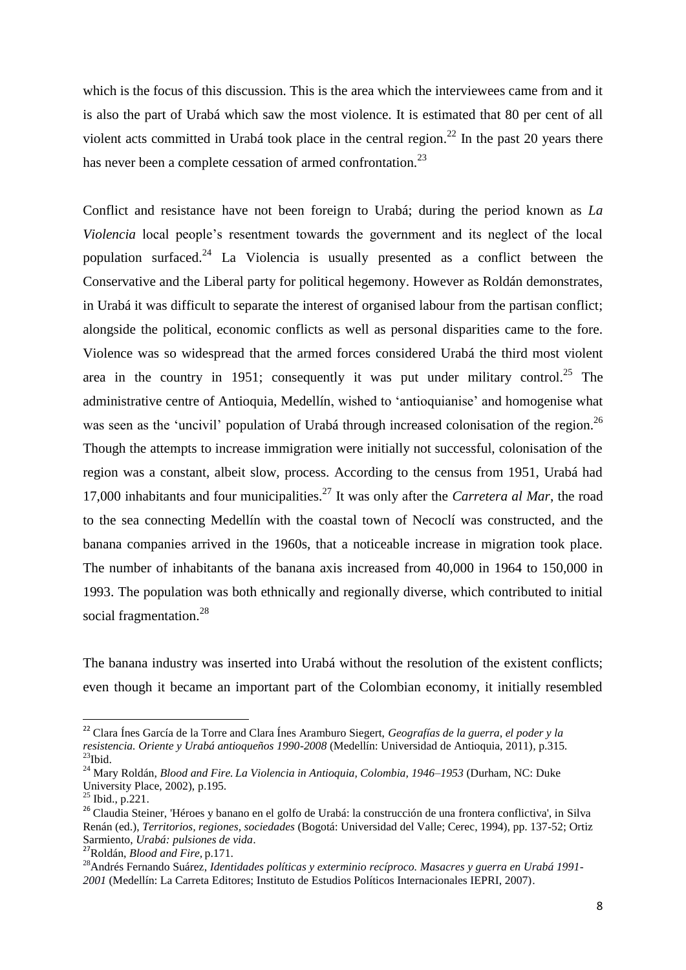which is the focus of this discussion. This is the area which the interviewees came from and it is also the part of Urabá which saw the most violence. It is estimated that 80 per cent of all violent acts committed in Urabá took place in the central region.<sup>22</sup> In the past 20 years there has never been a complete cessation of armed confrontation.<sup>23</sup>

Conflict and resistance have not been foreign to Urabá; during the period known as *La Violencia* local people's resentment towards the government and its neglect of the local population surfaced.<sup>24</sup> La Violencia is usually presented as a conflict between the Conservative and the Liberal party for political hegemony. However as Roldán demonstrates, in Urabá it was difficult to separate the interest of organised labour from the partisan conflict; alongside the political, economic conflicts as well as personal disparities came to the fore. Violence was so widespread that the armed forces considered Urabá the third most violent area in the country in 1951; consequently it was put under military control.<sup>25</sup> The administrative centre of Antioquia, Medellín, wished to 'antioquianise' and homogenise what was seen as the 'uncivil' population of Urabá through increased colonisation of the region.<sup>26</sup> Though the attempts to increase immigration were initially not successful, colonisation of the region was a constant, albeit slow, process. According to the census from 1951, Urabá had 17,000 inhabitants and four municipalities.<sup>27</sup> It was only after the *Carretera al Mar*, the road to the sea connecting Medellín with the coastal town of Necoclí was constructed, and the banana companies arrived in the 1960s, that a noticeable increase in migration took place. The number of inhabitants of the banana axis increased from 40,000 in 1964 to 150,000 in 1993. The population was both ethnically and regionally diverse, which contributed to initial social fragmentation.<sup>28</sup>

The banana industry was inserted into Urabá without the resolution of the existent conflicts; even though it became an important part of the Colombian economy, it initially resembled

<sup>22</sup> Clara Ínes García de la Torre and Clara Ínes Aramburo Siegert, *Geografías de la guerra, el poder y la resistencia. Oriente y Urabá antioqueños 1990-2008* (Medellín: Universidad de Antioquia, 2011)*,* p.315*.*  $^{23}$ Ibid.

<sup>24</sup> Mary Roldán, *Blood and Fire. La Violencia in Antioquia, Colombia, 1946–1953* (Durham, NC: Duke University Place, 2002), p.195.

 $^{25}$  Ibid., p.221.

<sup>&</sup>lt;sup>26</sup> Claudia Steiner, 'Héroes y banano en el golfo de Urabá: la construcción de una frontera conflictiva', in Silva Renán (ed.), *Territorios, regiones, sociedades* (Bogotá: Universidad del Valle; Cerec, 1994), pp. 137-52; Ortiz Sarmiento, *Urabá: pulsiones de vida*.

<sup>27</sup>Roldán, *Blood and Fire,* p.171.

<sup>28</sup>Andrés Fernando Suárez, *Identidades políticas y exterminio recíproco. Masacres y guerra en Urabá 1991- 2001* (Medellín: La Carreta Editores; Instituto de Estudios Políticos Internacionales IEPRI, 2007).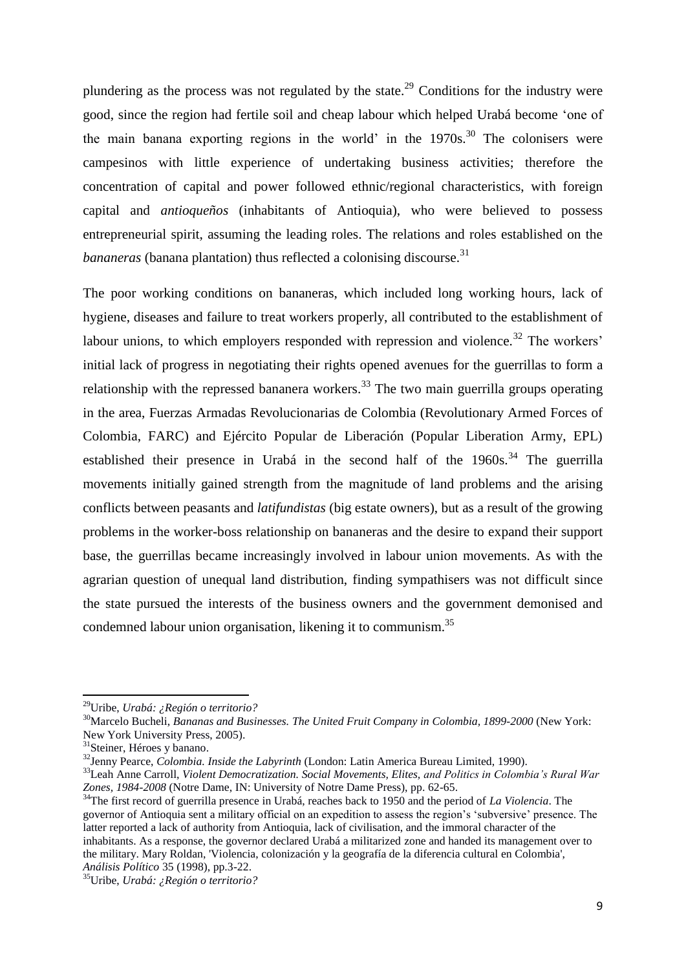plundering as the process was not regulated by the state.<sup>29</sup> Conditions for the industry were good, since the region had fertile soil and cheap labour which helped Urabá become 'one of the main banana exporting regions in the world' in the  $1970s$ <sup>30</sup>. The colonisers were campesinos with little experience of undertaking business activities; therefore the concentration of capital and power followed ethnic/regional characteristics, with foreign capital and *antioqueños* (inhabitants of Antioquia), who were believed to possess entrepreneurial spirit, assuming the leading roles. The relations and roles established on the *bananeras* (banana plantation) thus reflected a colonising discourse.<sup>31</sup>

The poor working conditions on bananeras, which included long working hours, lack of hygiene, diseases and failure to treat workers properly, all contributed to the establishment of labour unions, to which employers responded with repression and violence.<sup>32</sup> The workers' initial lack of progress in negotiating their rights opened avenues for the guerrillas to form a relationship with the repressed bananera workers.<sup>33</sup> The two main guerrilla groups operating in the area, Fuerzas Armadas Revolucionarias de Colombia (Revolutionary Armed Forces of Colombia, FARC) and Ejército Popular de Liberación (Popular Liberation Army, EPL) established their presence in Urabá in the second half of the  $1960s$ .<sup>34</sup> The guerrilla movements initially gained strength from the magnitude of land problems and the arising conflicts between peasants and *latifundistas* (big estate owners), but as a result of the growing problems in the worker-boss relationship on bananeras and the desire to expand their support base, the guerrillas became increasingly involved in labour union movements. As with the agrarian question of unequal land distribution, finding sympathisers was not difficult since the state pursued the interests of the business owners and the government demonised and condemned labour union organisation, likening it to communism.<sup>35</sup>

<sup>29</sup>Uribe, *Urabá: ¿Región o territorio?*

<sup>&</sup>lt;sup>30</sup>Marcelo Bucheli, *Bananas and Businesses. The United Fruit Company in Colombia, 1899-2000* (New York: New York University Press, 2005).

<sup>31</sup>Steiner, Héroes y banano.

<sup>&</sup>lt;sup>32</sup>Jenny Pearce, *Colombia. Inside the Labyrinth* (London: Latin America Bureau Limited, 1990).

<sup>33</sup>Leah Anne Carroll, *Violent Democratization. Social Movements, Elites, and Politics in Colombia's Rural War Zones, 1984-2008* (Notre Dame, IN: University of Notre Dame Press), pp. 62-65.

<sup>&</sup>lt;sup>34</sup>The first record of guerrilla presence in Urabá, reaches back to 1950 and the period of *La Violencia*. The governor of Antioquia sent a military official on an expedition to assess the region's 'subversive' presence. The latter reported a lack of authority from Antioquia, lack of civilisation, and the immoral character of the inhabitants. As a response, the governor declared Urabá a militarized zone and handed its management over to the military. Mary Roldan, 'Violencia, colonización y la geografía de la diferencia cultural en Colombia', *Análisis Político* 35 (1998), pp.3-22.

<sup>35</sup>Uribe, *Urabá: ¿Región o territorio?*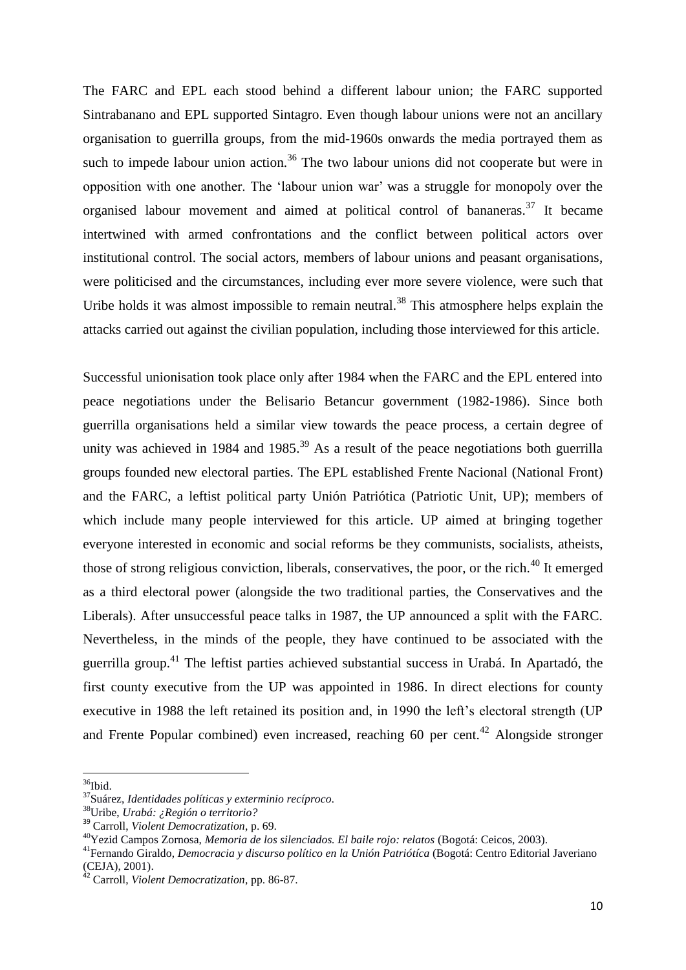The FARC and EPL each stood behind a different labour union; the FARC supported Sintrabanano and EPL supported Sintagro. Even though labour unions were not an ancillary organisation to guerrilla groups, from the mid-1960s onwards the media portrayed them as such to impede labour union action.<sup>36</sup> The two labour unions did not cooperate but were in opposition with one another. The 'labour union war' was a struggle for monopoly over the organised labour movement and aimed at political control of bananeras.<sup>37</sup> It became intertwined with armed confrontations and the conflict between political actors over institutional control. The social actors, members of labour unions and peasant organisations, were politicised and the circumstances, including ever more severe violence, were such that Uribe holds it was almost impossible to remain neutral.<sup>38</sup> This atmosphere helps explain the attacks carried out against the civilian population, including those interviewed for this article.

Successful unionisation took place only after 1984 when the FARC and the EPL entered into peace negotiations under the Belisario Betancur government (1982-1986). Since both guerrilla organisations held a similar view towards the peace process, a certain degree of unity was achieved in 1984 and 1985.<sup>39</sup> As a result of the peace negotiations both guerrilla groups founded new electoral parties. The EPL established Frente Nacional (National Front) and the FARC, a leftist political party Unión Patriótica (Patriotic Unit, UP); members of which include many people interviewed for this article. UP aimed at bringing together everyone interested in economic and social reforms be they communists, socialists, atheists, those of strong religious conviction, liberals, conservatives, the poor, or the rich.<sup>40</sup> It emerged as a third electoral power (alongside the two traditional parties, the Conservatives and the Liberals). After unsuccessful peace talks in 1987, the UP announced a split with the FARC. Nevertheless, in the minds of the people, they have continued to be associated with the guerrilla group.<sup>41</sup> The leftist parties achieved substantial success in Urabá. In Apartadó, the first county executive from the UP was appointed in 1986. In direct elections for county executive in 1988 the left retained its position and, in 1990 the left's electoral strength (UP and Frente Popular combined) even increased, reaching 60 per cent.<sup>42</sup> Alongside stronger

 $36$ Ibid.

<sup>37</sup>Suárez, *Identidades políticas y exterminio recíproco.*

<sup>38</sup>Uribe, *Urabá: ¿Región o territorio?*

<sup>39</sup> Carroll, *Violent Democratization*, p. 69.

<sup>40</sup>Yezid Campos Zornosa, *Memoria de los silenciados. El baile rojo: relatos* (Bogotá: Ceicos, 2003).

<sup>41</sup>Fernando Giraldo, *Democracia y discurso político en la Unión Patriótíca* (Bogotá: Centro Editorial Javeriano (CEJA), 2001).

<sup>42</sup> Carroll, *Violent Democratization*, pp. 86-87.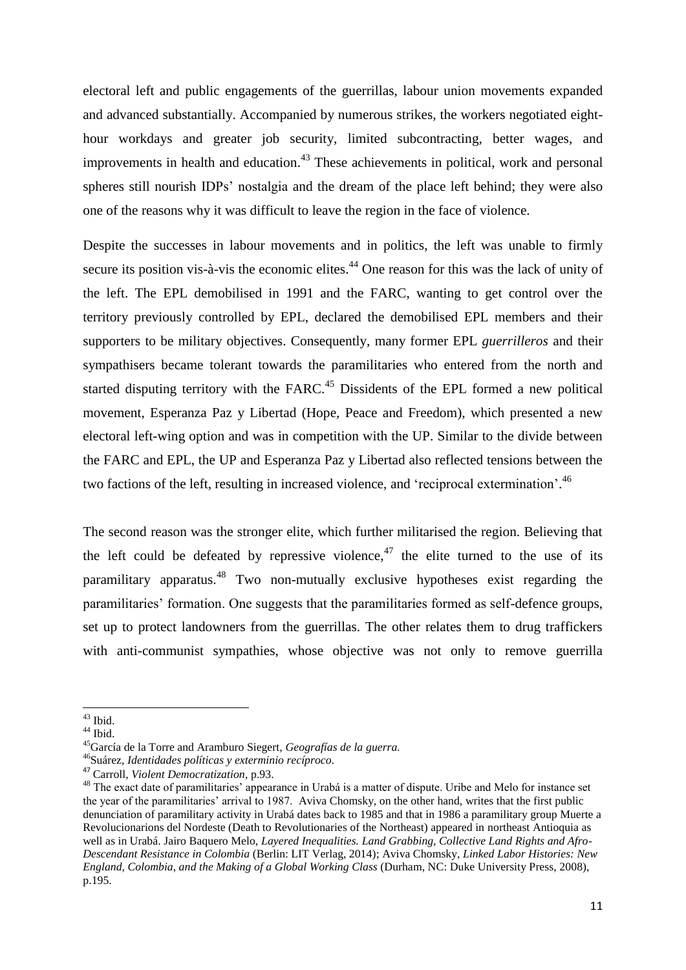electoral left and public engagements of the guerrillas, labour union movements expanded and advanced substantially. Accompanied by numerous strikes, the workers negotiated eighthour workdays and greater job security, limited subcontracting, better wages, and improvements in health and education.<sup>43</sup> These achievements in political, work and personal spheres still nourish IDPs' nostalgia and the dream of the place left behind; they were also one of the reasons why it was difficult to leave the region in the face of violence.

Despite the successes in labour movements and in politics, the left was unable to firmly secure its position vis-à-vis the economic elites.<sup>44</sup> One reason for this was the lack of unity of the left. The EPL demobilised in 1991 and the FARC, wanting to get control over the territory previously controlled by EPL, declared the demobilised EPL members and their supporters to be military objectives. Consequently, many former EPL *guerrilleros* and their sympathisers became tolerant towards the paramilitaries who entered from the north and started disputing territory with the FARC.<sup>45</sup> Dissidents of the EPL formed a new political movement, Esperanza Paz y Libertad (Hope, Peace and Freedom), which presented a new electoral left-wing option and was in competition with the UP. Similar to the divide between the FARC and EPL, the UP and Esperanza Paz y Libertad also reflected tensions between the two factions of the left, resulting in increased violence, and 'reciprocal extermination'.<sup>46</sup>

The second reason was the stronger elite, which further militarised the region. Believing that the left could be defeated by repressive violence,<sup>47</sup> the elite turned to the use of its paramilitary apparatus.<sup>48</sup> Two non-mutually exclusive hypotheses exist regarding the paramilitaries' formation. One suggests that the paramilitaries formed as self-defence groups, set up to protect landowners from the guerrillas. The other relates them to drug traffickers with anti-communist sympathies, whose objective was not only to remove guerrilla

 $\overline{a}$ 

 $43$  Ibid.

 $44$  Ibid.

<sup>45</sup>García de la Torre and Aramburo Siegert, *Geografías de la guerra.*

<sup>46</sup>Suárez, *Identidades políticas y exterminio recíproco.*

<sup>47</sup> Carroll, *Violent Democratization*, p.93.

<sup>48</sup> The exact date of paramilitaries' appearance in Urabá is a matter of dispute. Uribe and Melo for instance set the year of the paramilitaries' arrival to 1987. Aviva Chomsky, on the other hand, writes that the first public denunciation of paramilitary activity in Urabá dates back to 1985 and that in 1986 a paramilitary group Muerte a Revolucionarions del Nordeste (Death to Revolutionaries of the Northeast) appeared in northeast Antioquia as well as in Urabá. Jairo Baquero Melo, *Layered Inequalities. Land Grabbing, Collective Land Rights and Afro-Descendant Resistance in Colombia* (Berlin: LIT Verlag, 2014); Aviva Chomsky, *Linked Labor Histories: New England, Colombia, and the Making of a Global Working Class* (Durham, NC: Duke University Press, 2008), p.195.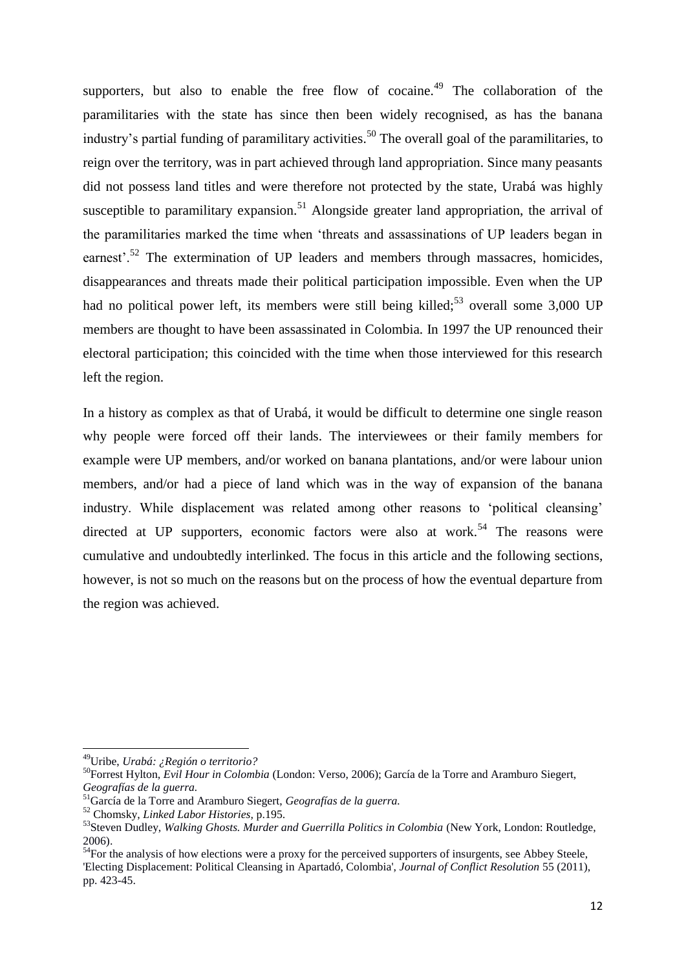supporters, but also to enable the free flow of  $cocaine<sup>49</sup>$ . The collaboration of the paramilitaries with the state has since then been widely recognised, as has the banana industry's partial funding of paramilitary activities.<sup>50</sup> The overall goal of the paramilitaries, to reign over the territory, was in part achieved through land appropriation. Since many peasants did not possess land titles and were therefore not protected by the state, Urabá was highly susceptible to paramilitary expansion.<sup>51</sup> Alongside greater land appropriation, the arrival of the paramilitaries marked the time when 'threats and assassinations of UP leaders began in earnest'.<sup>52</sup> The extermination of UP leaders and members through massacres, homicides, disappearances and threats made their political participation impossible. Even when the UP had no political power left, its members were still being killed;<sup>53</sup> overall some 3,000 UP members are thought to have been assassinated in Colombia. In 1997 the UP renounced their electoral participation; this coincided with the time when those interviewed for this research left the region.

In a history as complex as that of Urabá, it would be difficult to determine one single reason why people were forced off their lands. The interviewees or their family members for example were UP members, and/or worked on banana plantations, and/or were labour union members, and/or had a piece of land which was in the way of expansion of the banana industry. While displacement was related among other reasons to 'political cleansing' directed at UP supporters, economic factors were also at work.<sup>54</sup> The reasons were cumulative and undoubtedly interlinked. The focus in this article and the following sections, however, is not so much on the reasons but on the process of how the eventual departure from the region was achieved.

<sup>49</sup>Uribe, *Urabá: ¿Región o territorio?*

<sup>50</sup>Forrest Hylton, *Evil Hour in Colombia* (London: Verso, 2006); García de la Torre and Aramburo Siegert, *Geografías de la guerra.*

<sup>51</sup>García de la Torre and Aramburo Siegert, *Geografías de la guerra.*

<sup>52</sup> Chomsky, *Linked Labor Histories,* p.195.

<sup>&</sup>lt;sup>53</sup>Steven Dudley, *Walking Ghosts. Murder and Guerrilla Politics in Colombia* (New York, London: Routledge, 2006).

<sup>&</sup>lt;sup>54</sup>For the analysis of how elections were a proxy for the perceived supporters of insurgents, see Abbey Steele, 'Electing Displacement: Political Cleansing in Apartadó, Colombia', *Journal of Conflict Resolution* 55 (2011), pp. 423-45.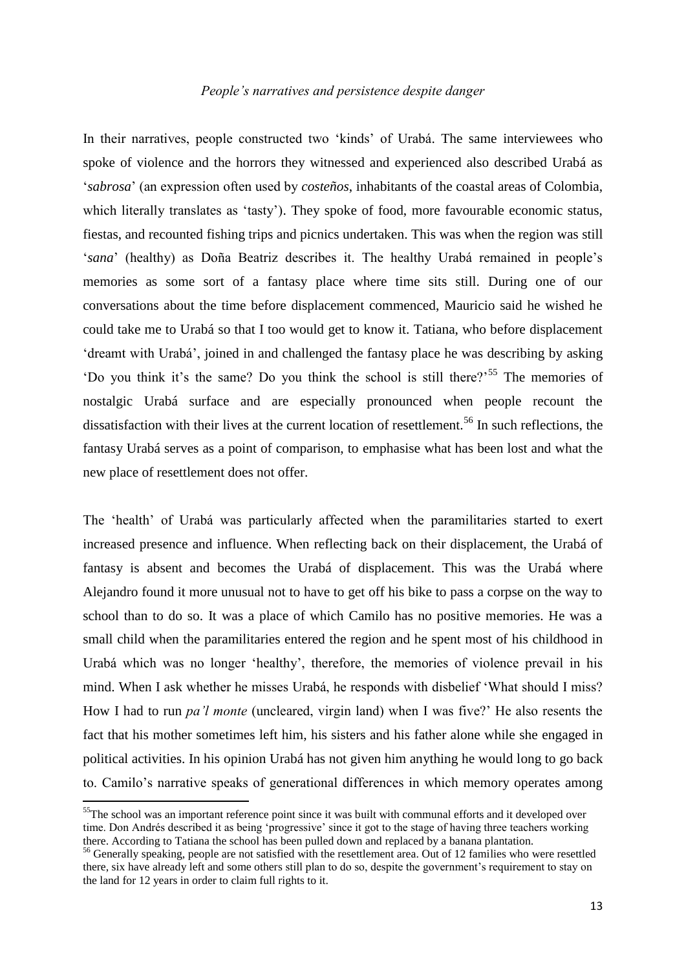#### *People's narratives and persistence despite danger*

In their narratives, people constructed two 'kinds' of Urabá. The same interviewees who spoke of violence and the horrors they witnessed and experienced also described Urabá as '*sabrosa*' (an expression often used by *costeños*, inhabitants of the coastal areas of Colombia, which literally translates as 'tasty'). They spoke of food, more favourable economic status, fiestas, and recounted fishing trips and picnics undertaken. This was when the region was still '*sana*' (healthy) as Doña Beatriz describes it. The healthy Urabá remained in people's memories as some sort of a fantasy place where time sits still. During one of our conversations about the time before displacement commenced, Mauricio said he wished he could take me to Urabá so that I too would get to know it. Tatiana, who before displacement 'dreamt with Urabá', joined in and challenged the fantasy place he was describing by asking 'Do you think it's the same? Do you think the school is still there?'<sup>55</sup> The memories of nostalgic Urabá surface and are especially pronounced when people recount the dissatisfaction with their lives at the current location of resettlement.<sup>56</sup> In such reflections, the fantasy Urabá serves as a point of comparison, to emphasise what has been lost and what the new place of resettlement does not offer.

The 'health' of Urabá was particularly affected when the paramilitaries started to exert increased presence and influence. When reflecting back on their displacement, the Urabá of fantasy is absent and becomes the Urabá of displacement. This was the Urabá where Alejandro found it more unusual not to have to get off his bike to pass a corpse on the way to school than to do so. It was a place of which Camilo has no positive memories. He was a small child when the paramilitaries entered the region and he spent most of his childhood in Urabá which was no longer 'healthy', therefore, the memories of violence prevail in his mind. When I ask whether he misses Urabá, he responds with disbelief 'What should I miss? How I had to run *pa'l monte* (uncleared, virgin land) when I was five?' He also resents the fact that his mother sometimes left him, his sisters and his father alone while she engaged in political activities. In his opinion Urabá has not given him anything he would long to go back to. Camilo's narrative speaks of generational differences in which memory operates among

<sup>&</sup>lt;sup>55</sup>The school was an important reference point since it was built with communal efforts and it developed over time. Don Andrés described it as being 'progressive' since it got to the stage of having three teachers working there. According to Tatiana the school has been pulled down and replaced by a banana plantation.

<sup>&</sup>lt;sup>56</sup> Generally speaking, people are not satisfied with the resettlement area. Out of 12 families who were resettled there, six have already left and some others still plan to do so, despite the government's requirement to stay on the land for 12 years in order to claim full rights to it.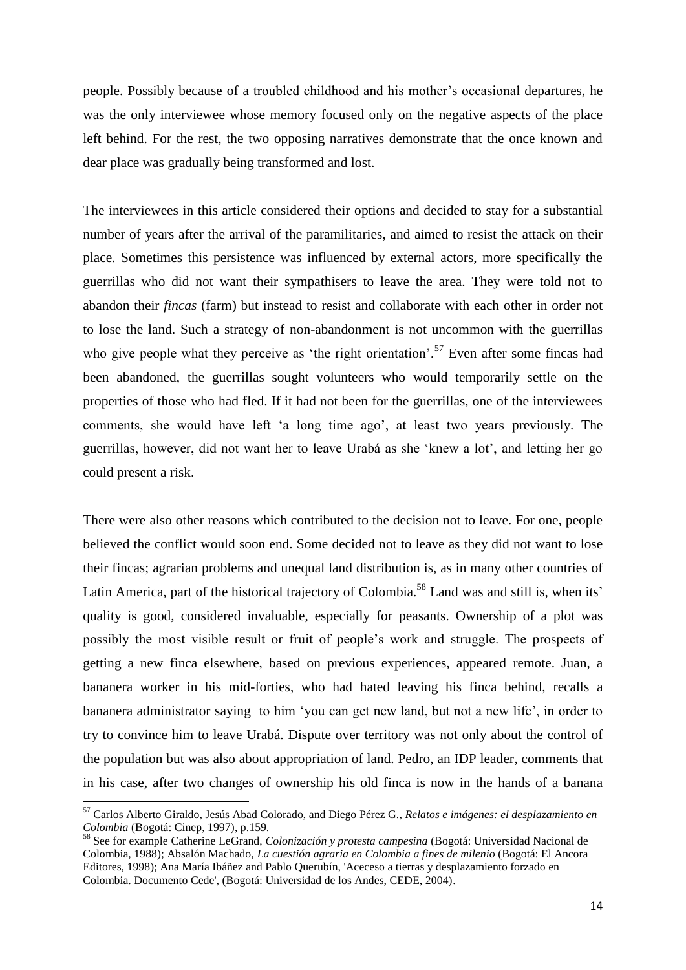people. Possibly because of a troubled childhood and his mother's occasional departures, he was the only interviewee whose memory focused only on the negative aspects of the place left behind. For the rest, the two opposing narratives demonstrate that the once known and dear place was gradually being transformed and lost.

The interviewees in this article considered their options and decided to stay for a substantial number of years after the arrival of the paramilitaries, and aimed to resist the attack on their place. Sometimes this persistence was influenced by external actors, more specifically the guerrillas who did not want their sympathisers to leave the area. They were told not to abandon their *fincas* (farm) but instead to resist and collaborate with each other in order not to lose the land. Such a strategy of non-abandonment is not uncommon with the guerrillas who give people what they perceive as 'the right orientation'.<sup>57</sup> Even after some fincas had been abandoned, the guerrillas sought volunteers who would temporarily settle on the properties of those who had fled. If it had not been for the guerrillas, one of the interviewees comments, she would have left 'a long time ago', at least two years previously. The guerrillas, however, did not want her to leave Urabá as she 'knew a lot', and letting her go could present a risk.

There were also other reasons which contributed to the decision not to leave. For one, people believed the conflict would soon end. Some decided not to leave as they did not want to lose their fincas; agrarian problems and unequal land distribution is, as in many other countries of Latin America, part of the historical trajectory of Colombia.<sup>58</sup> Land was and still is, when its' quality is good, considered invaluable, especially for peasants. Ownership of a plot was possibly the most visible result or fruit of people's work and struggle. The prospects of getting a new finca elsewhere, based on previous experiences, appeared remote. Juan, a bananera worker in his mid-forties, who had hated leaving his finca behind, recalls a bananera administrator saying to him 'you can get new land, but not a new life', in order to try to convince him to leave Urabá. Dispute over territory was not only about the control of the population but was also about appropriation of land. Pedro, an IDP leader, comments that in his case, after two changes of ownership his old finca is now in the hands of a banana

<sup>57</sup> Carlos Alberto Giraldo, Jesús Abad Colorado, and Diego Pérez G., *Relatos e imágenes: el desplazamiento en Colombia* (Bogotá: Cinep, 1997), p.159.

<sup>58</sup> See for example Catherine LeGrand, *Colonización y protesta campesina* (Bogotá: Universidad Nacional de Colombia, 1988); Absalón Machado, *La cuestión agraria en Colombia a fines de milenio* (Bogotá: El Ancora Editores, 1998); Ana María Ibáñez and Pablo Querubín, 'Aceceso a tierras y desplazamiento forzado en Colombia. Documento Cede', (Bogotá: Universidad de los Andes, CEDE, 2004).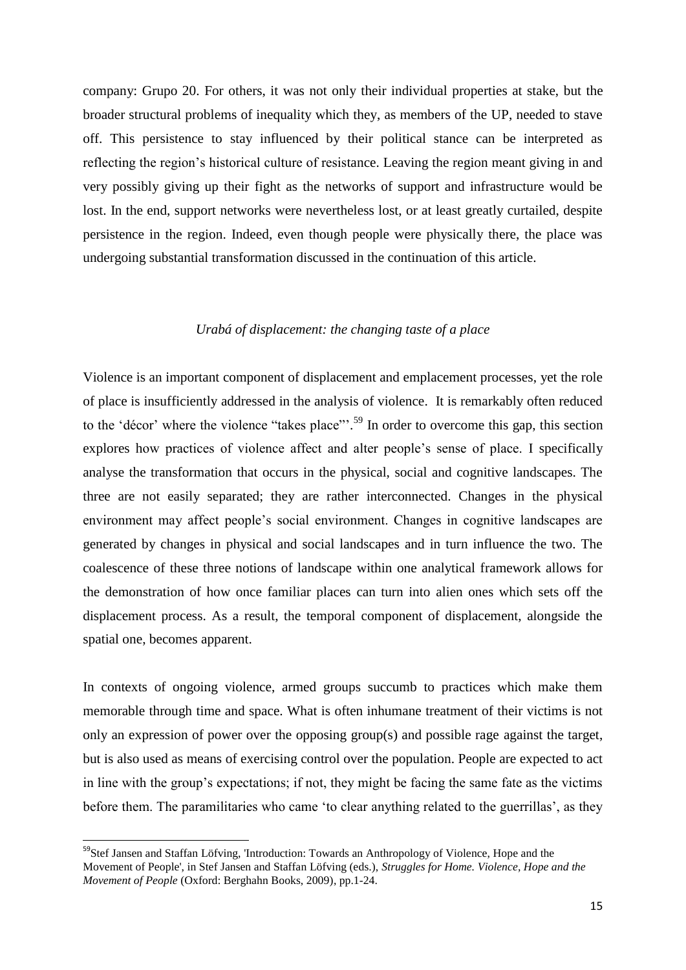company: Grupo 20. For others, it was not only their individual properties at stake, but the broader structural problems of inequality which they, as members of the UP, needed to stave off. This persistence to stay influenced by their political stance can be interpreted as reflecting the region's historical culture of resistance. Leaving the region meant giving in and very possibly giving up their fight as the networks of support and infrastructure would be lost. In the end, support networks were nevertheless lost, or at least greatly curtailed, despite persistence in the region. Indeed, even though people were physically there, the place was undergoing substantial transformation discussed in the continuation of this article.

#### *Urabá of displacement: the changing taste of a place*

Violence is an important component of displacement and emplacement processes, yet the role of place is insufficiently addressed in the analysis of violence. It is remarkably often reduced to the 'décor' where the violence "takes place".<sup>59</sup> In order to overcome this gap, this section explores how practices of violence affect and alter people's sense of place. I specifically analyse the transformation that occurs in the physical, social and cognitive landscapes. The three are not easily separated; they are rather interconnected. Changes in the physical environment may affect people's social environment. Changes in cognitive landscapes are generated by changes in physical and social landscapes and in turn influence the two. The coalescence of these three notions of landscape within one analytical framework allows for the demonstration of how once familiar places can turn into alien ones which sets off the displacement process. As a result, the temporal component of displacement, alongside the spatial one, becomes apparent.

In contexts of ongoing violence, armed groups succumb to practices which make them memorable through time and space. What is often inhumane treatment of their victims is not only an expression of power over the opposing group(s) and possible rage against the target, but is also used as means of exercising control over the population. People are expected to act in line with the group's expectations; if not, they might be facing the same fate as the victims before them. The paramilitaries who came 'to clear anything related to the guerrillas', as they

<sup>&</sup>lt;sup>59</sup>Stef Jansen and Staffan Löfving, 'Introduction: Towards an Anthropology of Violence, Hope and the Movement of People', in Stef Jansen and Staffan Löfving (eds.), *Struggles for Home. Violence, Hope and the Movement of People* (Oxford: Berghahn Books, 2009), pp.1-24.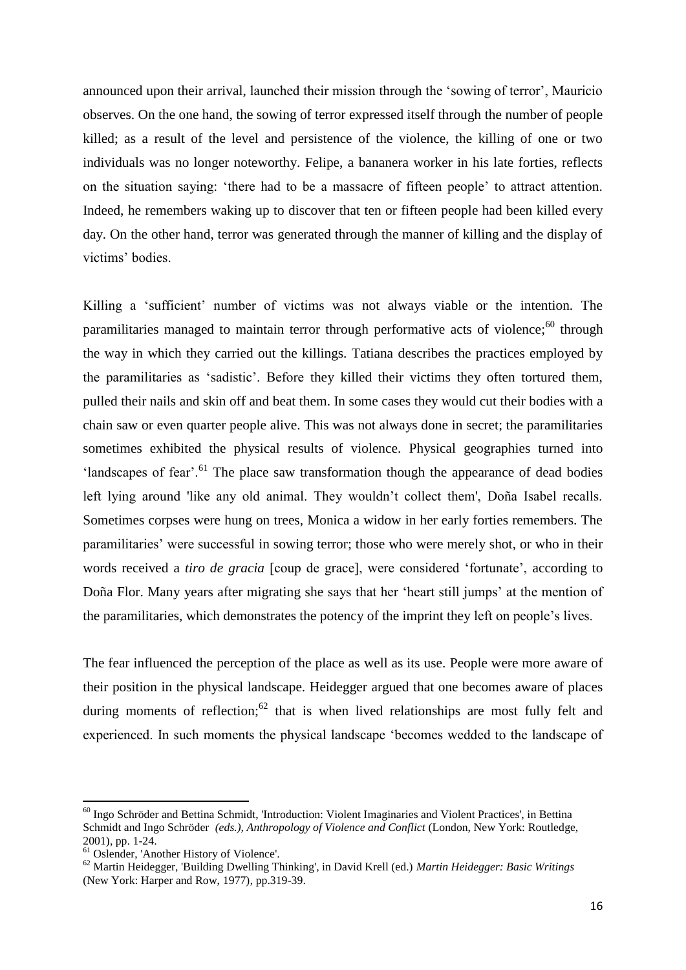announced upon their arrival, launched their mission through the 'sowing of terror', Mauricio observes. On the one hand, the sowing of terror expressed itself through the number of people killed; as a result of the level and persistence of the violence, the killing of one or two individuals was no longer noteworthy. Felipe, a bananera worker in his late forties, reflects on the situation saying: 'there had to be a massacre of fifteen people' to attract attention. Indeed, he remembers waking up to discover that ten or fifteen people had been killed every day. On the other hand, terror was generated through the manner of killing and the display of victims' bodies.

Killing a 'sufficient' number of victims was not always viable or the intention. The paramilitaries managed to maintain terror through performative acts of violence;<sup>60</sup> through the way in which they carried out the killings. Tatiana describes the practices employed by the paramilitaries as 'sadistic'. Before they killed their victims they often tortured them, pulled their nails and skin off and beat them. In some cases they would cut their bodies with a chain saw or even quarter people alive. This was not always done in secret; the paramilitaries sometimes exhibited the physical results of violence. Physical geographies turned into 'landscapes of fear'.<sup>61</sup> The place saw transformation though the appearance of dead bodies left lying around 'like any old animal. They wouldn't collect them', Doña Isabel recalls. Sometimes corpses were hung on trees, Monica a widow in her early forties remembers. The paramilitaries' were successful in sowing terror; those who were merely shot, or who in their words received a *tiro de gracia* [coup de grace], were considered 'fortunate', according to Doña Flor. Many years after migrating she says that her 'heart still jumps' at the mention of the paramilitaries, which demonstrates the potency of the imprint they left on people's lives.

The fear influenced the perception of the place as well as its use. People were more aware of their position in the physical landscape. Heidegger argued that one becomes aware of places during moments of reflection; $62$  that is when lived relationships are most fully felt and experienced. In such moments the physical landscape 'becomes wedded to the landscape of

<sup>&</sup>lt;sup>60</sup> Ingo Schröder and Bettina Schmidt, 'Introduction: Violent Imaginaries and Violent Practices', in Bettina Schmidt and Ingo Schröder *(eds.), Anthropology of Violence and Conflict* (London, New York: Routledge, 2001), pp. 1-24.

 $^{61}$  Oslender, 'Another History of Violence'.

<sup>62</sup> Martin Heidegger, 'Building Dwelling Thinking', in David Krell (ed.) *Martin Heidegger: Basic Writings* (New York: Harper and Row, 1977), pp.319-39.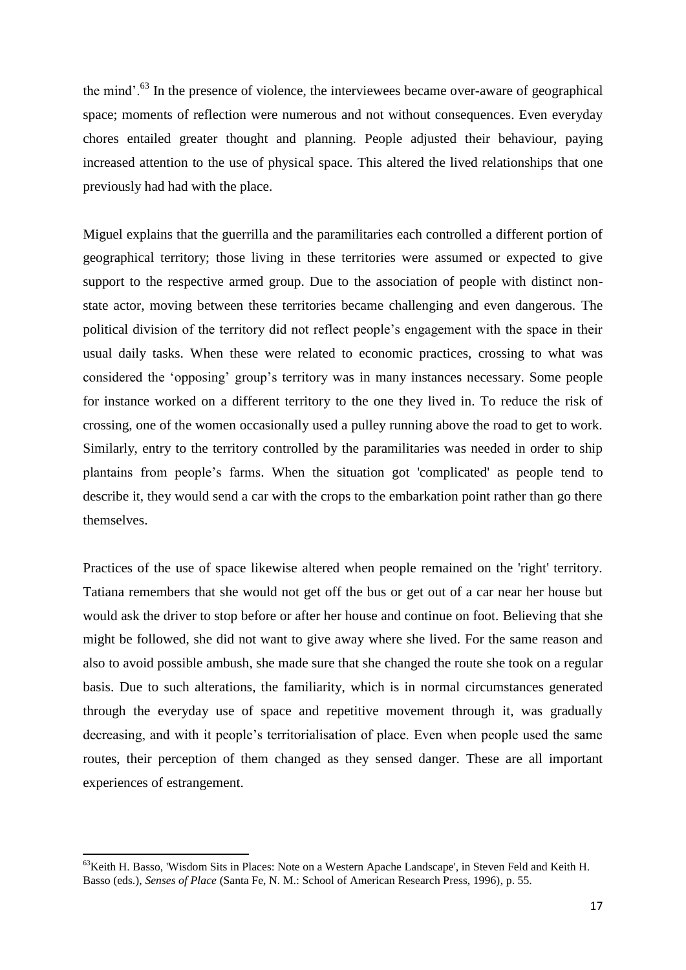the mind'.<sup>63</sup> In the presence of violence, the interviewees became over-aware of geographical space; moments of reflection were numerous and not without consequences. Even everyday chores entailed greater thought and planning. People adjusted their behaviour, paying increased attention to the use of physical space. This altered the lived relationships that one previously had had with the place.

Miguel explains that the guerrilla and the paramilitaries each controlled a different portion of geographical territory; those living in these territories were assumed or expected to give support to the respective armed group. Due to the association of people with distinct nonstate actor, moving between these territories became challenging and even dangerous. The political division of the territory did not reflect people's engagement with the space in their usual daily tasks. When these were related to economic practices, crossing to what was considered the 'opposing' group's territory was in many instances necessary. Some people for instance worked on a different territory to the one they lived in. To reduce the risk of crossing, one of the women occasionally used a pulley running above the road to get to work. Similarly, entry to the territory controlled by the paramilitaries was needed in order to ship plantains from people's farms. When the situation got 'complicated' as people tend to describe it, they would send a car with the crops to the embarkation point rather than go there themselves.

Practices of the use of space likewise altered when people remained on the 'right' territory. Tatiana remembers that she would not get off the bus or get out of a car near her house but would ask the driver to stop before or after her house and continue on foot. Believing that she might be followed, she did not want to give away where she lived. For the same reason and also to avoid possible ambush, she made sure that she changed the route she took on a regular basis. Due to such alterations, the familiarity, which is in normal circumstances generated through the everyday use of space and repetitive movement through it, was gradually decreasing, and with it people's territorialisation of place. Even when people used the same routes, their perception of them changed as they sensed danger. These are all important experiences of estrangement.

<sup>&</sup>lt;sup>63</sup>Keith H. Basso, 'Wisdom Sits in Places: Note on a Western Apache Landscape', in Steven Feld and Keith H. Basso (eds.), *Senses of Place* (Santa Fe, N. M.: School of American Research Press, 1996), p. 55.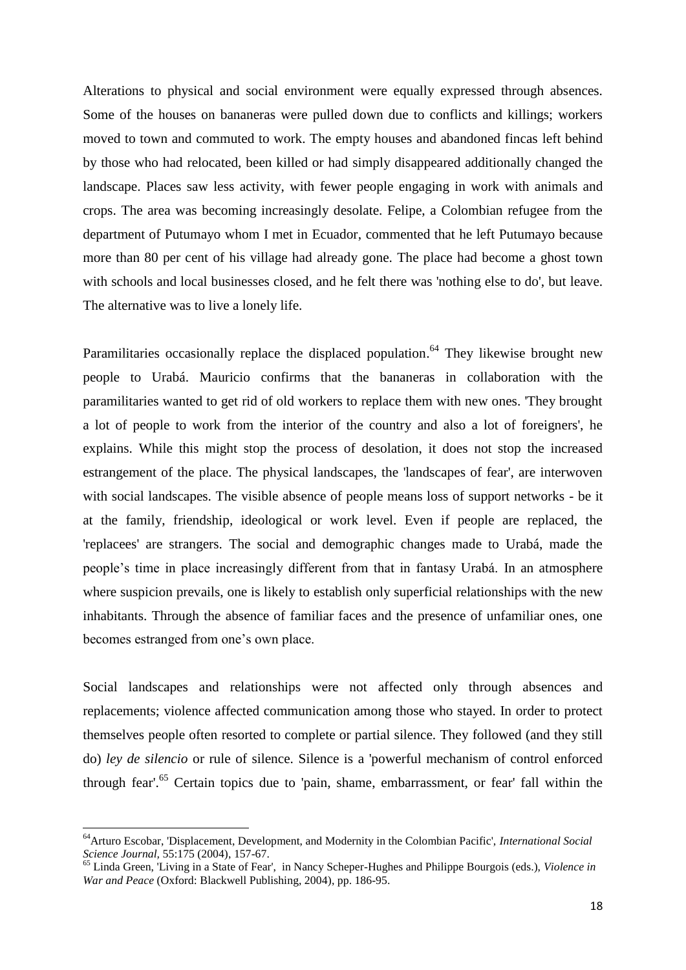Alterations to physical and social environment were equally expressed through absences. Some of the houses on bananeras were pulled down due to conflicts and killings; workers moved to town and commuted to work. The empty houses and abandoned fincas left behind by those who had relocated, been killed or had simply disappeared additionally changed the landscape. Places saw less activity, with fewer people engaging in work with animals and crops. The area was becoming increasingly desolate. Felipe, a Colombian refugee from the department of Putumayo whom I met in Ecuador, commented that he left Putumayo because more than 80 per cent of his village had already gone. The place had become a ghost town with schools and local businesses closed, and he felt there was 'nothing else to do', but leave. The alternative was to live a lonely life.

Paramilitaries occasionally replace the displaced population.<sup>64</sup> They likewise brought new people to Urabá. Mauricio confirms that the bananeras in collaboration with the paramilitaries wanted to get rid of old workers to replace them with new ones. 'They brought a lot of people to work from the interior of the country and also a lot of foreigners', he explains. While this might stop the process of desolation, it does not stop the increased estrangement of the place. The physical landscapes, the 'landscapes of fear', are interwoven with social landscapes. The visible absence of people means loss of support networks - be it at the family, friendship, ideological or work level. Even if people are replaced, the 'replacees' are strangers. The social and demographic changes made to Urabá, made the people's time in place increasingly different from that in fantasy Urabá. In an atmosphere where suspicion prevails, one is likely to establish only superficial relationships with the new inhabitants. Through the absence of familiar faces and the presence of unfamiliar ones, one becomes estranged from one's own place.

Social landscapes and relationships were not affected only through absences and replacements; violence affected communication among those who stayed. In order to protect themselves people often resorted to complete or partial silence. They followed (and they still do) *ley de silencio* or rule of silence. Silence is a 'powerful mechanism of control enforced through fear'.<sup>65</sup> Certain topics due to 'pain, shame, embarrassment, or fear' fall within the

<sup>64</sup>Arturo Escobar, 'Displacement, Development, and Modernity in the Colombian Pacific', *International Social Science Journal,* 55:175 (2004), 157-67.

<sup>65</sup> Linda Green, 'Living in a State of Fear', in Nancy Scheper-Hughes and Philippe Bourgois (eds.), *Violence in War and Peace* (Oxford: Blackwell Publishing, 2004), pp. 186-95.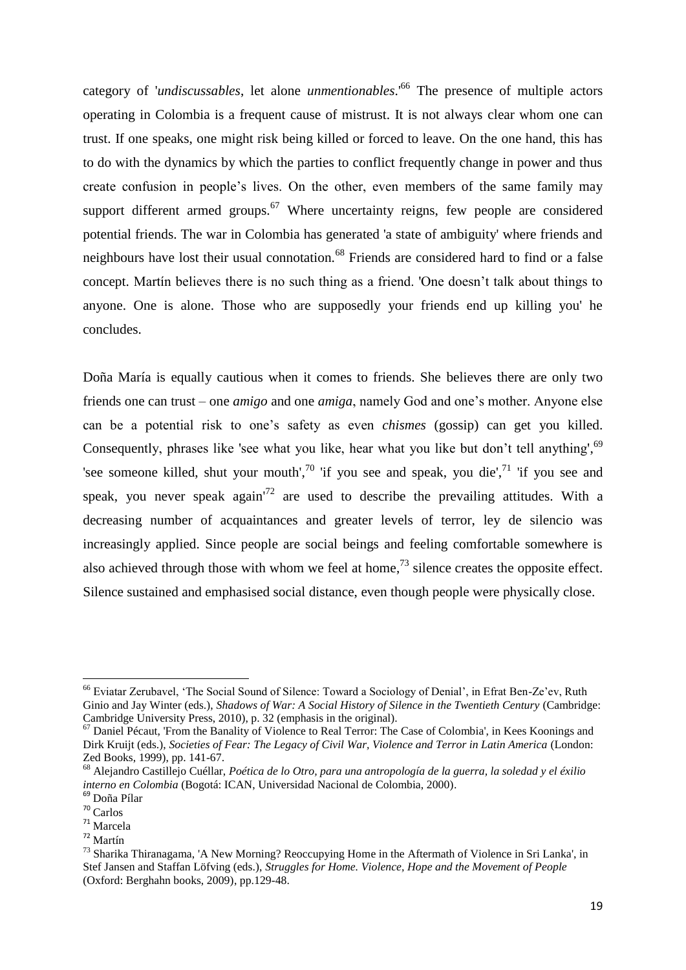category of *'undiscussables*, let alone *unmentionables*.<sup>66</sup> The presence of multiple actors operating in Colombia is a frequent cause of mistrust. It is not always clear whom one can trust. If one speaks, one might risk being killed or forced to leave. On the one hand, this has to do with the dynamics by which the parties to conflict frequently change in power and thus create confusion in people's lives. On the other, even members of the same family may support different armed groups.<sup>67</sup> Where uncertainty reigns, few people are considered potential friends. The war in Colombia has generated 'a state of ambiguity' where friends and neighbours have lost their usual connotation.<sup>68</sup> Friends are considered hard to find or a false concept. Martín believes there is no such thing as a friend. 'One doesn't talk about things to anyone. One is alone. Those who are supposedly your friends end up killing you' he concludes.

Doña María is equally cautious when it comes to friends. She believes there are only two friends one can trust – one *amigo* and one *amiga*, namely God and one's mother. Anyone else can be a potential risk to one's safety as even *chismes* (gossip) can get you killed. Consequently, phrases like 'see what you like, hear what you like but don't tell anything',<sup>69</sup> 'see someone killed, shut your mouth',<sup>70</sup> 'if you see and speak, you die',<sup>71</sup> 'if you see and speak, you never speak again<sup> $72$ </sup> are used to describe the prevailing attitudes. With a decreasing number of acquaintances and greater levels of terror, ley de silencio was increasingly applied. Since people are social beings and feeling comfortable somewhere is also achieved through those with whom we feel at home,<sup>73</sup> silence creates the opposite effect. Silence sustained and emphasised social distance, even though people were physically close.

**.** 

<sup>72</sup> Martín

<sup>&</sup>lt;sup>66</sup> Eviatar Zerubavel, 'The Social Sound of Silence: Toward a Sociology of Denial', in Efrat Ben-Ze'ev, Ruth Ginio and Jay Winter (eds.), *Shadows of War: A Social History of Silence in the Twentieth Century* (Cambridge: Cambridge University Press, 2010), p. 32 (emphasis in the original).

<sup>&</sup>lt;sup>67</sup> Daniel Pécaut, 'From the Banality of Violence to Real Terror: The Case of Colombia', in Kees Koonings and Dirk Kruijt (eds.), *Societies of Fear: The Legacy of Civil War, Violence and Terror in Latin America* (London: Zed Books, 1999), pp. 141-67.

<sup>68</sup> Alejandro Castillejo Cuéllar, *Poética de lo Otro, para una antropología de la guerra, la soledad y el éxilio interno en Colombia* (Bogotá: ICAN, Universidad Nacional de Colombia, 2000).

<sup>69</sup> Doña Pílar

<sup>70</sup> Carlos

<sup>71</sup> Marcela

<sup>73</sup> Sharika Thiranagama, 'A New Morning? Reoccupying Home in the Aftermath of Violence in Sri Lanka', in Stef Jansen and Staffan Löfving (eds.), *Struggles for Home. Violence, Hope and the Movement of People* (Oxford: Berghahn books, 2009), pp.129-48.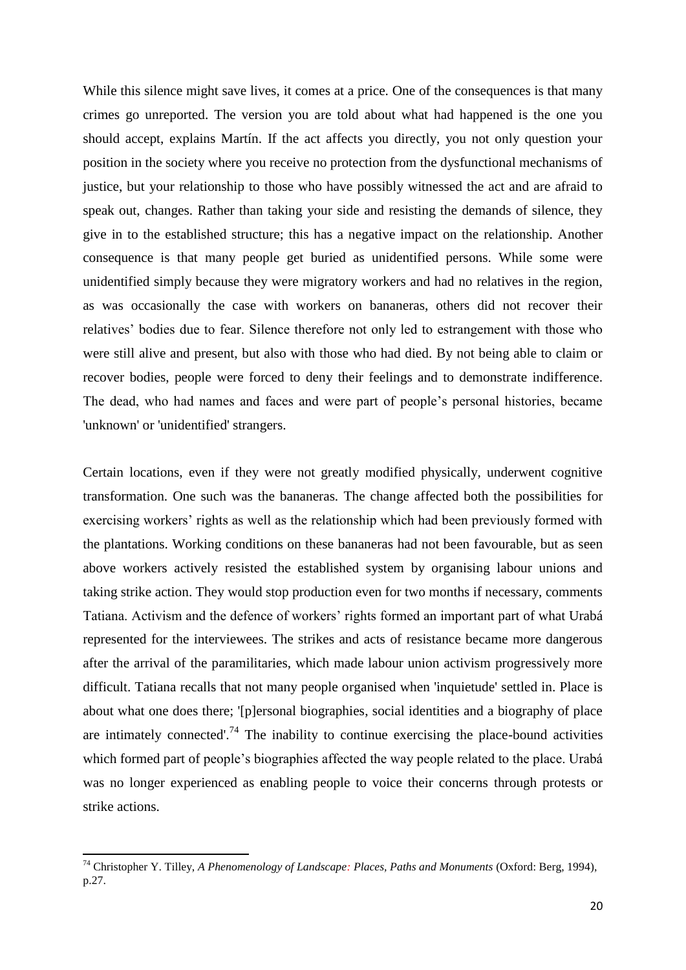While this silence might save lives, it comes at a price. One of the consequences is that many crimes go unreported. The version you are told about what had happened is the one you should accept, explains Martín. If the act affects you directly, you not only question your position in the society where you receive no protection from the dysfunctional mechanisms of justice, but your relationship to those who have possibly witnessed the act and are afraid to speak out, changes. Rather than taking your side and resisting the demands of silence, they give in to the established structure; this has a negative impact on the relationship. Another consequence is that many people get buried as unidentified persons. While some were unidentified simply because they were migratory workers and had no relatives in the region, as was occasionally the case with workers on bananeras, others did not recover their relatives' bodies due to fear. Silence therefore not only led to estrangement with those who were still alive and present, but also with those who had died. By not being able to claim or recover bodies, people were forced to deny their feelings and to demonstrate indifference. The dead, who had names and faces and were part of people's personal histories, became 'unknown' or 'unidentified' strangers.

Certain locations, even if they were not greatly modified physically, underwent cognitive transformation. One such was the bananeras*.* The change affected both the possibilities for exercising workers' rights as well as the relationship which had been previously formed with the plantations. Working conditions on these bananeras had not been favourable, but as seen above workers actively resisted the established system by organising labour unions and taking strike action. They would stop production even for two months if necessary, comments Tatiana. Activism and the defence of workers' rights formed an important part of what Urabá represented for the interviewees. The strikes and acts of resistance became more dangerous after the arrival of the paramilitaries, which made labour union activism progressively more difficult. Tatiana recalls that not many people organised when 'inquietude' settled in. Place is about what one does there; '[p]ersonal biographies, social identities and a biography of place are intimately connected'.<sup>74</sup> The inability to continue exercising the place-bound activities which formed part of people's biographies affected the way people related to the place. Urabá was no longer experienced as enabling people to voice their concerns through protests or strike actions.

<sup>74</sup> Christopher Y. Tilley, *A Phenomenology of Landscape: Places, Paths and Monuments* (Oxford: Berg, 1994), p.27.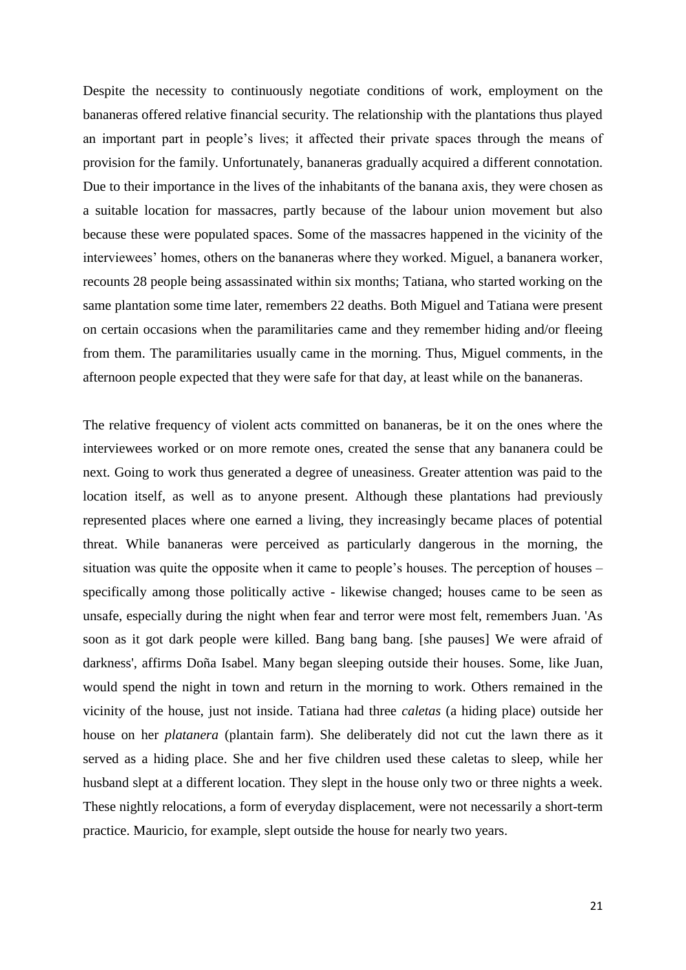Despite the necessity to continuously negotiate conditions of work, employment on the bananeras offered relative financial security. The relationship with the plantations thus played an important part in people's lives; it affected their private spaces through the means of provision for the family. Unfortunately, bananeras gradually acquired a different connotation. Due to their importance in the lives of the inhabitants of the banana axis, they were chosen as a suitable location for massacres, partly because of the labour union movement but also because these were populated spaces. Some of the massacres happened in the vicinity of the interviewees' homes, others on the bananeras where they worked. Miguel, a bananera worker, recounts 28 people being assassinated within six months; Tatiana, who started working on the same plantation some time later, remembers 22 deaths. Both Miguel and Tatiana were present on certain occasions when the paramilitaries came and they remember hiding and/or fleeing from them. The paramilitaries usually came in the morning. Thus, Miguel comments, in the afternoon people expected that they were safe for that day, at least while on the bananeras.

The relative frequency of violent acts committed on bananeras, be it on the ones where the interviewees worked or on more remote ones, created the sense that any bananera could be next. Going to work thus generated a degree of uneasiness. Greater attention was paid to the location itself, as well as to anyone present. Although these plantations had previously represented places where one earned a living, they increasingly became places of potential threat. While bananeras were perceived as particularly dangerous in the morning, the situation was quite the opposite when it came to people's houses. The perception of houses – specifically among those politically active - likewise changed; houses came to be seen as unsafe, especially during the night when fear and terror were most felt, remembers Juan. 'As soon as it got dark people were killed. Bang bang bang. [she pauses] We were afraid of darkness', affirms Doña Isabel. Many began sleeping outside their houses. Some, like Juan, would spend the night in town and return in the morning to work. Others remained in the vicinity of the house, just not inside. Tatiana had three *caletas* (a hiding place) outside her house on her *platanera* (plantain farm). She deliberately did not cut the lawn there as it served as a hiding place. She and her five children used these caletas to sleep, while her husband slept at a different location. They slept in the house only two or three nights a week. These nightly relocations, a form of everyday displacement, were not necessarily a short-term practice. Mauricio, for example, slept outside the house for nearly two years.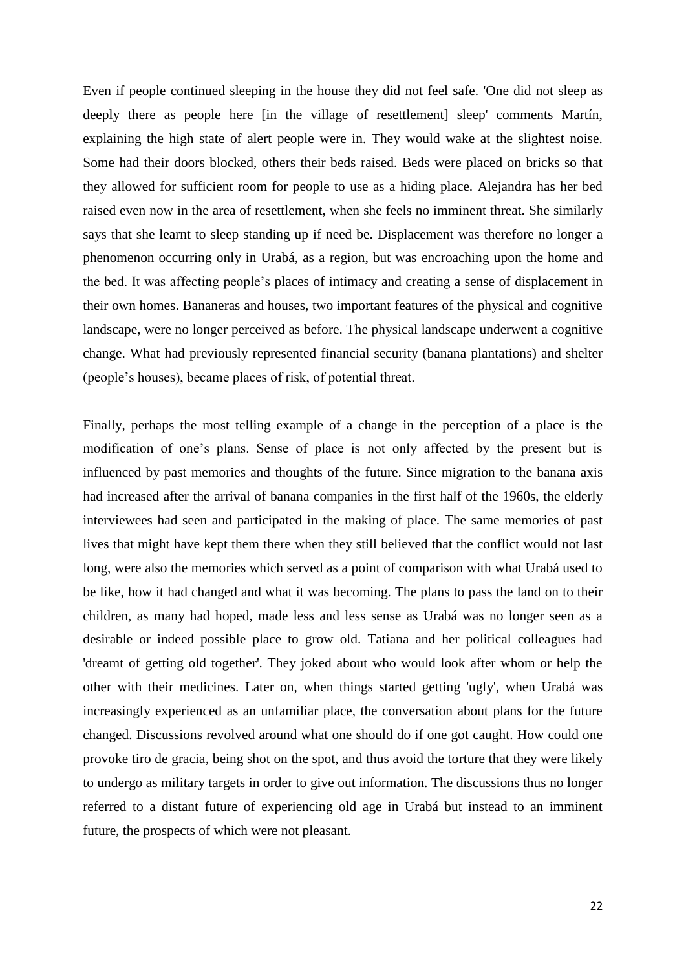Even if people continued sleeping in the house they did not feel safe. 'One did not sleep as deeply there as people here [in the village of resettlement] sleep' comments Martín, explaining the high state of alert people were in. They would wake at the slightest noise. Some had their doors blocked, others their beds raised. Beds were placed on bricks so that they allowed for sufficient room for people to use as a hiding place. Alejandra has her bed raised even now in the area of resettlement, when she feels no imminent threat. She similarly says that she learnt to sleep standing up if need be. Displacement was therefore no longer a phenomenon occurring only in Urabá, as a region, but was encroaching upon the home and the bed. It was affecting people's places of intimacy and creating a sense of displacement in their own homes. Bananeras and houses, two important features of the physical and cognitive landscape, were no longer perceived as before. The physical landscape underwent a cognitive change. What had previously represented financial security (banana plantations) and shelter (people's houses), became places of risk, of potential threat.

Finally, perhaps the most telling example of a change in the perception of a place is the modification of one's plans. Sense of place is not only affected by the present but is influenced by past memories and thoughts of the future. Since migration to the banana axis had increased after the arrival of banana companies in the first half of the 1960s, the elderly interviewees had seen and participated in the making of place. The same memories of past lives that might have kept them there when they still believed that the conflict would not last long, were also the memories which served as a point of comparison with what Urabá used to be like, how it had changed and what it was becoming. The plans to pass the land on to their children, as many had hoped, made less and less sense as Urabá was no longer seen as a desirable or indeed possible place to grow old. Tatiana and her political colleagues had 'dreamt of getting old together'. They joked about who would look after whom or help the other with their medicines. Later on, when things started getting 'ugly', when Urabá was increasingly experienced as an unfamiliar place, the conversation about plans for the future changed. Discussions revolved around what one should do if one got caught. How could one provoke tiro de gracia*,* being shot on the spot, and thus avoid the torture that they were likely to undergo as military targets in order to give out information. The discussions thus no longer referred to a distant future of experiencing old age in Urabá but instead to an imminent future, the prospects of which were not pleasant.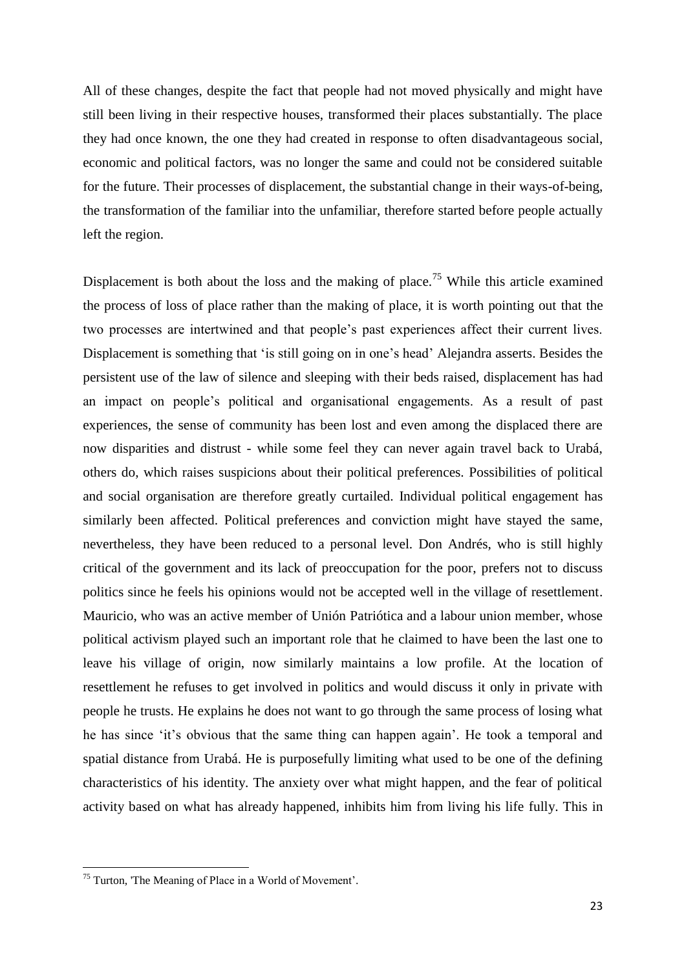All of these changes, despite the fact that people had not moved physically and might have still been living in their respective houses, transformed their places substantially. The place they had once known, the one they had created in response to often disadvantageous social, economic and political factors, was no longer the same and could not be considered suitable for the future. Their processes of displacement, the substantial change in their ways-of-being, the transformation of the familiar into the unfamiliar, therefore started before people actually left the region.

Displacement is both about the loss and the making of place.<sup>75</sup> While this article examined the process of loss of place rather than the making of place, it is worth pointing out that the two processes are intertwined and that people's past experiences affect their current lives. Displacement is something that 'is still going on in one's head' Alejandra asserts. Besides the persistent use of the law of silence and sleeping with their beds raised, displacement has had an impact on people's political and organisational engagements. As a result of past experiences, the sense of community has been lost and even among the displaced there are now disparities and distrust - while some feel they can never again travel back to Urabá, others do, which raises suspicions about their political preferences. Possibilities of political and social organisation are therefore greatly curtailed. Individual political engagement has similarly been affected. Political preferences and conviction might have stayed the same, nevertheless, they have been reduced to a personal level. Don Andrés, who is still highly critical of the government and its lack of preoccupation for the poor, prefers not to discuss politics since he feels his opinions would not be accepted well in the village of resettlement. Mauricio, who was an active member of Unión Patriótica and a labour union member, whose political activism played such an important role that he claimed to have been the last one to leave his village of origin, now similarly maintains a low profile. At the location of resettlement he refuses to get involved in politics and would discuss it only in private with people he trusts. He explains he does not want to go through the same process of losing what he has since 'it's obvious that the same thing can happen again'. He took a temporal and spatial distance from Urabá. He is purposefully limiting what used to be one of the defining characteristics of his identity. The anxiety over what might happen, and the fear of political activity based on what has already happened, inhibits him from living his life fully. This in

<sup>&</sup>lt;sup>75</sup> Turton, 'The Meaning of Place in a World of Movement'.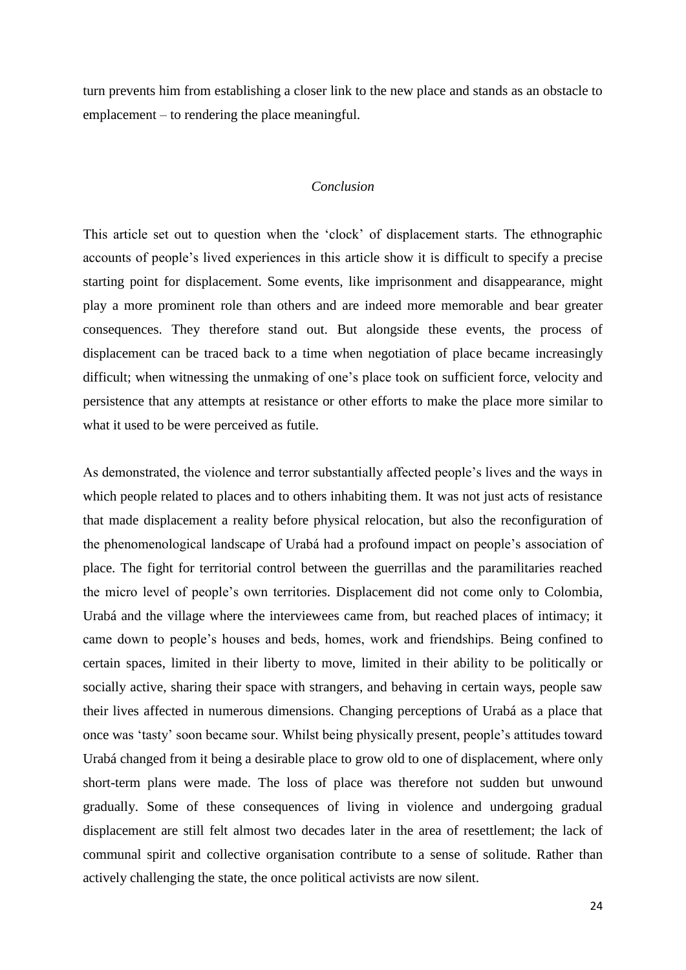turn prevents him from establishing a closer link to the new place and stands as an obstacle to emplacement – to rendering the place meaningful.

#### *Conclusion*

This article set out to question when the 'clock' of displacement starts. The ethnographic accounts of people's lived experiences in this article show it is difficult to specify a precise starting point for displacement. Some events, like imprisonment and disappearance, might play a more prominent role than others and are indeed more memorable and bear greater consequences. They therefore stand out. But alongside these events, the process of displacement can be traced back to a time when negotiation of place became increasingly difficult; when witnessing the unmaking of one's place took on sufficient force, velocity and persistence that any attempts at resistance or other efforts to make the place more similar to what it used to be were perceived as futile.

As demonstrated, the violence and terror substantially affected people's lives and the ways in which people related to places and to others inhabiting them. It was not just acts of resistance that made displacement a reality before physical relocation, but also the reconfiguration of the phenomenological landscape of Urabá had a profound impact on people's association of place. The fight for territorial control between the guerrillas and the paramilitaries reached the micro level of people's own territories. Displacement did not come only to Colombia, Urabá and the village where the interviewees came from, but reached places of intimacy; it came down to people's houses and beds, homes, work and friendships. Being confined to certain spaces, limited in their liberty to move, limited in their ability to be politically or socially active, sharing their space with strangers, and behaving in certain ways, people saw their lives affected in numerous dimensions. Changing perceptions of Urabá as a place that once was 'tasty' soon became sour. Whilst being physically present, people's attitudes toward Urabá changed from it being a desirable place to grow old to one of displacement, where only short-term plans were made. The loss of place was therefore not sudden but unwound gradually. Some of these consequences of living in violence and undergoing gradual displacement are still felt almost two decades later in the area of resettlement; the lack of communal spirit and collective organisation contribute to a sense of solitude. Rather than actively challenging the state, the once political activists are now silent.